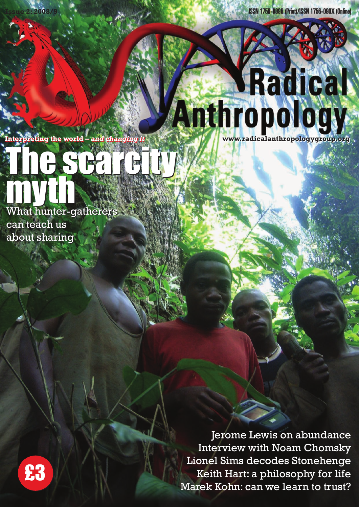# **III. Leader of Acchief and Consequently and Consequently and Consequently and Consequently and Consequently and Consequently and Consequently and Consequently and Consequently and Consequently and Consequently and Consequ**

## The scarcity myth The scarcity myth

What hunter-gatherers What hunter-gatherers can teach us can teach us about sharing about sharing

£3

Jerome Lewis on abundance Interview with Noam Chomsky Lionel Sims decodes Stonehenge Keith Hart: a philosophy for life Marek Kohn: can we learn to trust?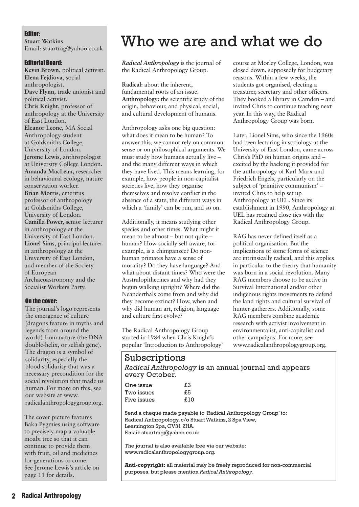#### Editor:

**Stuart Watkins** Email: stuartrag@yahoo.co.uk

#### Editorial Board:

**Kevin Brown**, political activist. **Elena Fejdiova**, social anthropologist. **Dave Flynn,** trade unionist and political activist. **Chris Knight**, professor of anthropology at the University of East London. **Eleanor Leone**, MA Social Anthropology student at Goldsmiths College, University of London. **Jerome Lewis**, anthropologist at University College London. **Amanda MacLean,** researcher in behavioural ecology, nature conservation worker. **Brian Morris**, emeritus professor of anthropology at Goldsmiths College, University of London. **Camilla Power,** senior lecturer in anthropology at the University of East London. **Lionel Sims**, principal lecturer in anthropology at the University of East London, and member of the Society of European Archaeoastronomy and the Socialist Workers Party.

#### On the cover:

The journal's logo represents the emergence of culture (dragons feature in myths and legends from around the world) from nature (the DNA double-helix, or selfish gene). The dragon is a symbol of solidarity, especially the blood solidarity that was a necessary precondition for the social revolution that made us human. For more on this, see our website at www. radicalanthropologygroup.org.

The cover picture features Baka Pygmies using software to precisely map a valuable moabi tree so that it can continue to provide them with fruit, oil and medicines for generations to come. See Jerome Lewis's article on page 11 for details.

## Who we are and what we do

*Radical Anthropology* is the journal of the Radical Anthropology Group.

**Radical:** about the inherent, fundamental roots of an issue. **Anthropology:** the scientific study of the origin, behaviour, and physical, social, and cultural development of humans.

Anthropology asks one big question: what does it mean to be human? To answer this, we cannot rely on common sense or on philosophical arguments. We must study how humans actually live – and the many different ways in which they have lived. This means learning, for example, how people in non-capitalist societies live, how they organise themselves and resolve conflict in the absence of a state, the different ways in which a 'family' can be run, and so on.

Additionally, it means studying other species and other times. What might it mean to be almost – but not quite – human? How socially self-aware, for example, is a chimpanzee? Do nonhuman primates have a sense of morality? Do they have language? And what about distant times? Who were the Australopithecines and why had they begun walking upright? Where did the Neanderthals come from and why did they become extinct? How, when and why did human art, religion, language and culture first evolve?

The Radical Anthropology Group started in 1984 when Chris Knight's popular 'Introduction to Anthropology' course at Morley College, London, was closed down, supposedly for budgetary reasons. Within a few weeks, the students got organised, electing a treasurer, secretary and other officers. They booked a library in Camden – and invited Chris to continue teaching next year. In this way, the Radical Anthropology Group was born.

Later, Lionel Sims, who since the 1960s had been lecturing in sociology at the University of East London, came across Chris's PhD on human origins and – excited by the backing it provided for the anthropology of Karl Marx and Friedrich Engels, particularly on the subject of 'primitive communism' – invited Chris to help set up Anthropology at UEL. Since its establishment in 1990, Anthropology at UEL has retained close ties with the Radical Anthropology Group.

RAG has never defined itself as a political organisation. But the implications of some forms of science are intrinsically radical, and this applies in particular to the theory that humanity was born in a social revolution. Many RAG members choose to be active in Survival International and/or other indigenous rights movements to defend the land rights and cultural survival of hunter-gatherers. Additionally, some RAG members combine academic research with activist involvement in environmentalist, anti-capitalist and other campaigns. For more, see www.radicalanthropologygroup.org.

#### Subscriptions *Radical Anthropology* is an annual journal and appears every October.

| £З  |
|-----|
| £5  |
| £10 |
|     |

Send a cheque made payable to 'Radical Anthropology Group' to: Radical Anthropology, c/o Stuart Watkins, 2 Spa View, Leamington Spa, CV31 2HA. Email: stuartrag@yahoo.co.uk.

The journal is also available free via our website: www.radicalanthropologygroup.org.

**Anti-copyright:** all material may be freely reproduced for non-commercial purposes, but please mention *Radical Anthropology*.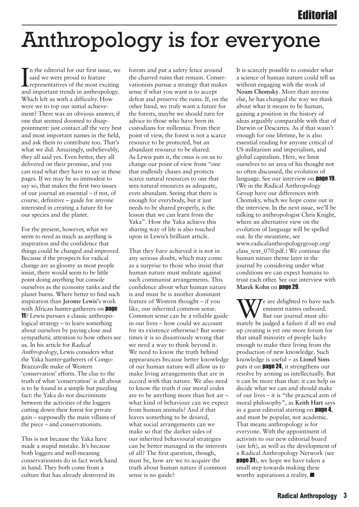# Anthropology is for everyone

In the editorial for our first issue, we<br>said we were proud to feature<br>representatives of the most exciting<br>and important trends in anthropology n the editorial for our first issue, we said we were proud to feature and important trends in anthropology. Which left us with a difficulty. How were we to top our initial achievement? There was an obvious answer, if one that seemed doomed to disappointment: just contact *all* the very best and most important names in the field, and ask them to contribute too. That's what we did. Amazingly, unbelievably, they all said yes. Even better, they all delivered on their promise, and you can read what they have to say in these pages. If we may be so immodest to say so, that makes the first two issues of our journal an essential – if not, of course, definitive – guide for anyone interested in creating a future fit for our species and the planet.

For the present, however, what we seem to need as much as anything is inspiration and the confidence that things could be changed and improved. Because if the prospects for radical change are as gloomy as most people insist, there would seem to be little point doing anything but console ourselves as the economy tanks and the planet burns. Where better to find such inspiration than **Jerome Lewis'**s work with African hunter-gatherers on **Dage** 11? Lewis pursues a classic anthropological strategy – to learn something about ourselves by paying close and sympathetic attention to how others see us. In his article for *Radical Anthropology*, Lewis considers what the Yaka hunter-gatherers of Congo-Brazzaville make of Western 'conservation' efforts. The clue to the truth of what 'conservation' is all about is to be found in a simple but puzzling fact: the Yaka do not discriminate between the activities of the loggers cutting down their forest for private gain – supposedly the main villains of the piece – and conservationists.

This is not because the Yaka have made a stupid mistake. It's because both loggers and well-meaning conservationists do in fact work hand in hand. They both come from a culture that has already destroyed its

forests and put a safety fence around the charred ruins that remain. Conservationists pursue a strategy that makes sense if what you want is to accept defeat and preserve the ruins. If, on the other hand, we truly want a future for the forests, maybe we should turn for advice to those who have been its custodians for millennia. From their point of view, the forest is not a scarce resource to be protected, but an abundant resource to be shared. As Lewis puts it, the onus is on us to change our point of view from "one that endlessly chases and protects scarce natural resources to one that sees natural resources as adequate, even abundant. Seeing that there is enough for everybody, but it just needs to be shared properly, is the lesson that we can learn from the Yaka". How the Yaka achieve this sharing way of life is also touched upon in Lewis's brilliant article.

That they *have* achieved it is not in any serious doubt, which may come as a surprise to those who insist that human nature must militate against such communist arrangements. This confidence about what human nature is and must be is another dominant feature of Western thought – if you like, our inherited common sense. Common sense can be a reliable guide in our lives – how could we account for its existence otherwise? But sometimes it is so disastrously wrong that we need a way to think beyond it. We need to know the truth behind appearances because better knowledge of our human nature will allow us to make living arrangements that are in accord with that nature. We also need to know the truth if our moral codes are to be anything more than hot air – what kind of behaviour can we expect from human animals? And if that leaves something to be desired, what social arrangements can we make so that the darker sides of our inherited behavioural strategies can be better managed in the interests of all? The first question, though, must be, how are we to acquire the truth about human nature if common sense is no guide?

It is scarcely possible to consider what a science of human nature could tell us without engaging with the work of **Noam Chomsky**. More than anyone else, he has changed the way we think about what it means to be human, gaining a position in the history of ideas arguably comparable with that of Darwin or Descartes. As if that wasn't enough for one lifetime, he is also essential reading for anyone critical of US militarism and imperialism, and global capitalism. Here, we limit ourselves to an area of his thought not so often discussed, the evolution of language. See our interview on **page 19**. (We in the Radical Anthropology Group have our differences with Chomsky, which we hope come out in the interview. In the next issue, we'll be talking to anthropologist Chris Knight, where an alternative view on the evolution of language will be spelled out. In the meantime, see www.radicalanthropologygroup.org/ class\_text\_070.pdf.) We continue the human nature theme later in the journal by considering under what conditions we can expect humans to trust each other. See our interview with **Marek Kohn** on page 29.

 $\mathbf{Z}$  are delighted to have such eminent names onboard. But our journal must ultimately be judged a failure if all we end up creating is yet one more forum for that small minority of people lucky enough to make their living from the production of new knowledge. Such knowledge is useful – as **Lionel Sims** puts it on **page 24**, it strengthens our resolve by arming us intellectually. But it can be more than that: it can help us decide what we can and should make of our lives – it is "the practical arm of moral philosophy", as **Keith Hart** says in a guest editorial starting on page 4, and must be popular, not academic. That means anthropology is for everyone. With the appointment of activists to our new editorial board (see left), as well as the development of a Radical Anthropology Network (see **page 31**), we hope we have taken a small step towards making these worthy aspirations a reality. ■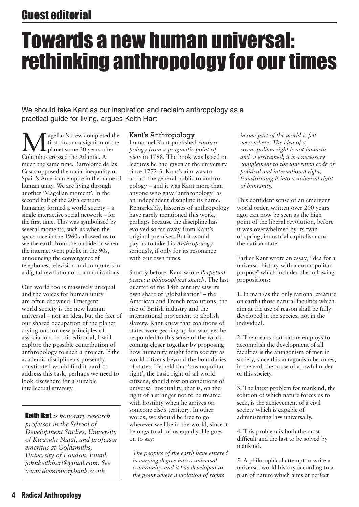## Guest editorial

# Towards a new human universal: rethinking anthropology for our times

We should take Kant as our inspiration and reclaim anthropology as a practical guide for living, argues Keith Hart

Magellan's crew completed the<br>first circumnavigation of the<br>Columbus crossed the Atlantic At first circumnavigation of the planet some 30 years after Columbus crossed the Atlantic. At much the same time, Bartolomé de las Casas opposed the racial inequality of Spain's American empire in the name of human unity. We are living through another 'Magellan moment'. In the second half of the 20th century, humanity formed a world society – a single interactive social network – for the first time. This was symbolised by several moments, such as when the space race in the 1960s allowed us to see the earth from the outside or when the internet went public in the 90s, announcing the convergence of telephones, television and computers in a digital revolution of communications.

Our world too is massively unequal and the voices for human unity are often drowned. Emergent world society is the new human universal – not an idea, but the fact of our shared occupation of the planet crying out for new principles of association. In this editorial, I will explore the possible contribution of anthropology to such a project. If the academic discipline as presently constituted would find it hard to address this task, perhaps we need to look elsewhere for a suitable intellectual strategy.

Keith Hart *is honorary research professor in the School of Development Studies, University of Kwazulu-Natal, and professor emeritus at Goldsmiths, University of London. Email: johnkeithhart@gmail.com. See www.thememorybank.co.uk.*

#### Kant's Anthropology

Immanuel Kant published *Anthropology from a pragmatic point of view* in 1798. The book was based on lectures he had given at the university since 1772-3. Kant's aim was to attract the general public to anthropology – and it was Kant more than anyone who gave 'anthropology' as an independent discipline its name. Remarkably, histories of anthropology have rarely mentioned this work, perhaps because the discipline has evolved so far away from Kant's original premises. But it would pay us to take his *Anthropology* seriously, if only for its resonance with our own times.

Shortly before, Kant wrote *Perpetual peace: a philosophical sketch*. The last quarter of the 18th century saw its own share of 'globalisation' – the American and French revolutions, the rise of British industry and the international movement to abolish slavery. Kant knew that coalitions of states were gearing up for war, yet he responded to this sense of the world coming closer together by proposing how humanity might form society as world citizens beyond the boundaries of states. He held that 'cosmopolitan right', the basic right of all world citizens, should rest on conditions of universal hospitality, that is, on the right of a stranger not to be treated with hostility when he arrives on someone else's territory. In other words, we should be free to go wherever we like in the world, since it belongs to all of us equally. He goes on to say:

*The peoples of the earth have entered in varying degree into a universal community, and it has developed to the point where a violation of rights*

*in one part of the world is felt everywhere. The idea of a cosmopolitan right is not fantastic and overstrained; it is a necessary complement to the unwritten code of political and international right, transforming it into a universal right of humanity.*

This confident sense of an emergent world order, written over 200 years ago, can now be seen as the high point of the liberal revolution, before it was overwhelmed by its twin offspring, industrial capitalism and the nation-state.

Earlier Kant wrote an essay, 'Idea for a universal history with a cosmopolitan purpose' which included the following propositions:

**1.** In man (as the only rational creature on earth) those natural faculties which aim at the use of reason shall be fully developed in the species, not in the individual.

**2.** The means that nature employs to accomplish the development of all faculties is the antagonism of men in society, since this antagonism becomes, in the end, the cause of a lawful order of this society.

**3.** The latest problem for mankind, the solution of which nature forces us to seek, is the achievement of a civil society which is capable of administering law universally.

**4.** This problem is both the most difficult and the last to be solved by mankind.

**5.** A philosophical attempt to write a universal world history according to a plan of nature which aims at perfect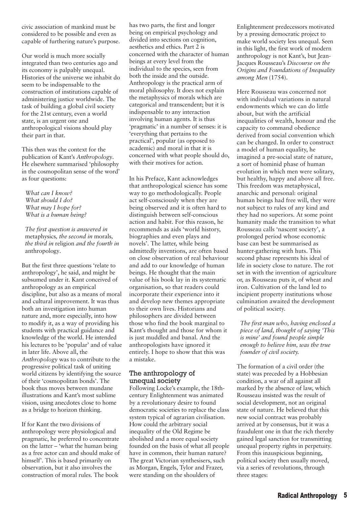civic association of mankind must be considered to be possible and even as capable of furthering nature's purpose.

Our world is much more socially integrated than two centuries ago and its economy is palpably unequal. Histories of the universe we inhabit do seem to be indispensable to the construction of institutions capable of administering justice worldwide. The task of building a global civil society for the 21st century, even a world state, is an urgent one and anthropological visions should play their part in that.

This then was the context for the publication of Kant's *Anthropology*. He elsewhere summarised 'philosophy in the cosmopolitan sense of the word' as four questions:

*What can I know? What should I do? What may I hope for? What is a human being?*

*The first question is answered in* metaphysics*, the second in* morals*, the third in* religion *and the fourth in* anthropology*.*

But the first three questions 'relate to anthropology', he said, and might be subsumed under it. Kant conceived of anthropology as an empirical discipline, but also as a means of moral and cultural improvement. It was thus both an investigation into human nature and, more especially, into how to modify it, as a way of providing his students with practical guidance and knowledge of the world. He intended his lectures to be 'popular' and of value in later life. Above all, the *Anthropology* was to contribute to the progressive political task of uniting world citizens by identifying the source of their 'cosmopolitan bonds'. The book thus moves between mundane illustrations and Kant's most sublime vision, using anecdotes close to home as a bridge to horizon thinking.

If for Kant the two divisions of anthropology were physiological and pragmatic, he preferred to concentrate on the latter – 'what the human being as a free actor can and should make of himself'. This is based primarily on observation, but it also involves the construction of moral rules. The book

has two parts, the first and longer being on empirical psychology and divided into sections on cognition, aesthetics and ethics. Part 2 is concerned with the character of human beings at every level from the individual to the species, seen from both the inside and the outside. Anthropology is the practical arm of moral philosophy. It does not explain the metaphysics of morals which are categorical and transcendent; but it is indispensable to any interaction involving human agents. It is thus 'pragmatic' in a number of senses: it is 'everything that pertains to the practical', popular (as opposed to academic) and moral in that it is concerned with what people should do, with their motives for action.

In his Preface, Kant acknowledges that anthropological science has some way to go methodologically. People act self-consciously when they are being observed and it is often hard to distinguish between self-conscious action and habit. For this reason, he recommends as aids 'world history, biographies and even plays and novels'. The latter, while being admittedly inventions, are often based on close observation of real behaviour and add to our knowledge of human beings. He thought that the main value of his book lay in its systematic organisation, so that readers could incorporate their experience into it and develop new themes appropriate to their own lives. Historians and philosophers are divided between those who find the book marginal to Kant's thought and those for whom it is just muddled and banal. And the anthropologists have ignored it entirely. I hope to show that this was a mistake.

#### The anthropology of unequal society

Following Locke's example, the 18thcentury Enlightenment was animated by a revolutionary desire to found democratic societies to replace the class system typical of agrarian civilisation. How could the arbitrary social inequality of the Old Regime be abolished and a more equal society founded on the basis of what all people have in common, their human nature? The great Victorian synthesisers, such as Morgan, Engels, Tylor and Frazer, were standing on the shoulders of

Enlightenment predecessors motivated by a pressing democratic project to make world society less unequal. Seen in this light, the first work of modern anthropology is not Kant's, but Jean-Jacques Rousseau's *Discourse on the Origins and Foundations of Inequality among Men* (1754).

Here Rousseau was concerned not with individual variations in natural endowments which we can do little about, but with the artificial inequalities of wealth, honour and the capacity to command obedience derived from social convention which can be changed. In order to construct a model of human equality, he imagined a pre-social state of nature, a sort of hominid phase of human evolution in which men were solitary, but healthy, happy and above all free. This freedom was metaphysical, anarchic and personal: original human beings had free will, they were not subject to rules of any kind and they had no superiors. At some point humanity made the transition to what Rousseau calls 'nascent society', a prolonged period whose economic base can best be summarised as hunter-gathering with huts. This second phase represents his ideal of life in society close to nature. The rot set in with the invention of agriculture or, as Rousseau puts it, of wheat and iron. Cultivation of the land led to incipient property institutions whose culmination awaited the development of political society.

*The first man who, having enclosed a piece of land, thought of saying 'This is mine' and found people simple enough to believe him, was the true founder of civil society.*

The formation of a civil order (the state) was preceded by a Hobbesian condition, a war of all against all marked by the absence of law, which Rousseau insisted was the result of social development, not an original state of nature. He believed that this new social contract was probably arrived at by consensus, but it was a fraudulent one in that the rich thereby gained legal sanction for transmitting unequal property rights in perpetuity. From this inauspicious beginning, political society then usually moved, via a series of revolutions, through three stages: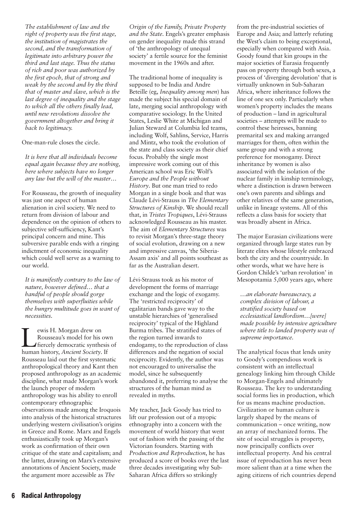*The establishment of law and the right of property was the first stage, the institution of magistrates the second, and the transformation of legitimate into arbitrary power the third and last stage. Thus the status of rich and poor was authorized by the first epoch, that of strong and weak by the second and by the third that of master and slave, which is the last degree of inequality and the stage to which all the others finally lead, until new revolutions dissolve the government altogether and bring it back to legitimacy.*

One-man-rule closes the circle.

*It is here that all individuals become equal again because they are nothing, here where subjects have no longer any law but the will of the master…*

For Rousseau, the growth of inequality was just one aspect of human alienation in civil society. We need to return from division of labour and dependence on the opinion of others to subjective self-sufficiency, Kant's principal concern and mine. This subversive parable ends with a ringing indictment of economic inequality which could well serve as a warning to our world.

*It is manifestly contrary to the law of nature, however defined… that a handful of people should gorge themselves with superfluities while the hungry multitude goes in want of necessities.*

ewis H. Morgan drew on Rousseau's model for his own fiercely democratic synthesis of human history, *Ancient Society*. If Rousseau laid out the first systematic anthropological theory and Kant then proposed anthropology as an academic discipline, what made Morgan's work the launch proper of modern anthropology was his ability to enroll contemporary ethnographic observations made among the Iroquois into analysis of the historical structures underlying western civilisation's origins in Greece and Rome. Marx and Engels enthusiastically took up Morgan's work as confirmation of their own critique of the state and capitalism; and the latter, drawing on Marx's extensive annotations of Ancient Society, made the argument more accessible as *The*

*Origin of the Family, Private Property and the State*. Engels's greater emphasis on gender inequality made this strand of 'the anthropology of unequal society' a fertile source for the feminist movement in the 1960s and after.

The traditional home of inequality is supposed to be India and Andre Beteille (eg, *Inequality among men*) has made the subject his special domain of late, merging social anthropology with comparative sociology. In the United States, Leslie White at Michigan and Julian Steward at Columbia led teams, including Wolf, Sahlins, Service, Harris and Mintz, who took the evolution of the state and class society as their chief focus. Probably the single most impressive work coming out of this American school was Eric Wolf's *Europe and the People without History*. But one man tried to redo Morgan in a single book and that was Claude Lévi-Strauss in *The Elementary Structures of Kinship*. We should recall that, in *Tristes Tropiques*, Lévi-Strauss acknowledged Rousseau as his master. The aim of *Elementary Structures* was to revisit Morgan's three-stage theory of social evolution, drawing on a new and impressive canvas, 'the Siberia-Assam axis' and all points southeast as far as the Australian desert.

Lévi-Strauss took as his motor of development the forms of marriage exchange and the logic of exogamy. The 'restricted reciprocity' of egalitarian bands gave way to the unstable hierarchies of 'generalised reciprocity' typical of the Highland Burma tribes. The stratified states of the region turned inwards to endogamy, to the reproduction of class differences and the negation of social reciprocity. Evidently, the author was not encouraged to universalise the model, since he subsequently abandoned it, preferring to analyse the structures of the human mind as revealed in myths.

My teacher, Jack Goody has tried to lift our profession out of a myopic ethnography into a concern with the movement of world history that went out of fashion with the passing of the Victorian founders. Starting with *Production and Reproduction*, he has produced a score of books over the last three decades investigating why Sub-Saharan Africa differs so strikingly

from the pre-industrial societies of Europe and Asia; and latterly refuting the West's claim to being exceptional, especially when compared with Asia. Goody found that kin groups in the major societies of Eurasia frequently pass on property through both sexes, a process of 'diverging devolution' that is virtually unknown in Sub-Saharan Africa, where inheritance follows the line of one sex only. Particularly when women's property includes the means of production – land in agricultural societies – attempts will be made to control these heiresses, banning premarital sex and making arranged marriages for them, often within the same group and with a strong preference for monogamy. Direct inheritance by women is also associated with the isolation of the nuclear family in kinship terminology, where a distinction is drawn between one's own parents and siblings and other relatives of the same generation, unlike in lineage systems. All of this reflects a class basis for society that was broadly absent in Africa.

The major Eurasian civilizations were organized through large states run by literate elites whose lifestyle embraced both the city and the countryside. In other words, what we have here is Gordon Childe's 'urban revolution' in Mesopotamia 5,000 years ago, where

*…an elaborate bureaucracy, a complex division of labour, a stratified society based on ecclesiastical landlordism…[were] made possible by intensive agriculture where title to landed property was of supreme importance.*

The analytical focus that lends unity to Goody's compendious work is consistent with an intellectual genealogy linking him through Childe to Morgan-Engels and ultimately Rousseau. The key to understanding social forms lies in production, which for us means machine production. Civilization or human culture is largely shaped by the means of communication – once writing, now an array of mechanized forms. The site of social struggles is property, now principally conflicts over intellectual property. And his central issue of reproduction has never been more salient than at a time when the aging citizens of rich countries depend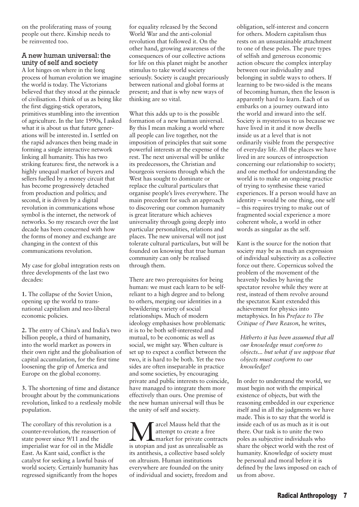on the proliferating mass of young people out there. Kinship needs to be reinvented too.

#### A new human universal: the unity of self and society

A lot hinges on where in the long process of human evolution we imagine the world is today. The Victorians believed that they stood at the pinnacle of civilisation. I think of us as being like the first digging-stick operators, primitives stumbling into the invention of agriculture. In the late 1990s, I asked what it is about us that future generations will be interested in. I settled on the rapid advances then being made in forming a single interactive network linking all humanity. This has two striking features: first, the network is a highly unequal market of buyers and sellers fuelled by a money circuit that has become progressively detached from production and politics; and second, it is driven by a digital revolution in communications whose symbol is the internet, the network of networks. So my research over the last decade has been concerned with how the forms of money and exchange are changing in the context of this communications revolution.

My case for global integration rests on three developments of the last two decades:

**1.** The collapse of the Soviet Union, opening up the world to transnational capitalism and neo-liberal economic policies.

**2.** The entry of China's and India's two billion people, a third of humanity, into the world market as powers in their own right and the globalisation of capital accumulation, for the first time loosening the grip of America and Europe on the global economy.

**3.** The shortening of time and distance brought about by the communications revolution, linked to a restlessly mobile population.

The corollary of this revolution is a counter-revolution, the reassertion of state power since 9/11 and the imperialist war for oil in the Middle East. As Kant said, conflict is the catalyst for seeking a lawful basis of world society. Certainly humanity has regressed significantly from the hopes

for equality released by the Second World War and the anti-colonial revolution that followed it. On the other hand, growing awareness of the consequences of our collective actions for life on this planet might be another stimulus to take world society seriously. Society is caught precariously between national and global forms at present; and that is why new ways of thinking are so vital.

What this adds up to is the possible formation of a new human universal. By this I mean making a world where all people can live together, not the imposition of principles that suit some powerful interests at the expense of the rest. The next universal will be unlike its predecessors, the Christian and bourgeois versions through which the West has sought to dominate or replace the cultural particulars that organise people's lives everywhere. The main precedent for such an approach to discovering our common humanity is great literature which achieves universality through going deeply into particular personalities, relations and places. The new universal will not just tolerate cultural particulars, but will be founded on knowing that true human community can only be realised through them.

There are two prerequisites for being human: we must each learn to be selfreliant to a high degree and to belong to others, merging our identities in a bewildering variety of social relationships. Much of modern ideology emphasises how problematic it is to be both self-interested and mutual, to be economic as well as social, we might say. When culture is set up to expect a conflict between the two, it is hard to be both. Yet the two sides are often inseparable in practice and some societies, by encouraging private and public interests to coincide, have managed to integrate them more effectively than ours. One premise of the new human universal will thus be the unity of self and society.

Marcel Mauss held that the<br>
attempt to create a free<br>
is utopian and just as unrealisable as attempt to create a free is utopian and just as unrealisable as its antithesis, a collective based solely on altruism. Human institutions everywhere are founded on the unity of individual and society, freedom and obligation, self-interest and concern for others. Modern capitalism thus rests on an unsustainable attachment to one of these poles. The pure types of selfish and generous economic action obscure the complex interplay between our individuality and belonging in subtle ways to others. If learning to be two-sided is the means of becoming human, then the lesson is apparently hard to learn. Each of us embarks on a journey outward into the world and inward into the self. Society is mysterious to us because we have lived in it and it now dwells inside us at a level that is not ordinarily visible from the perspective of everyday life. All the places we have lived in are sources of introspection concerning our relationship to society; and one method for understanding the world is to make an ongoing practice of trying to synthesise these varied experiences. If a person would have an identity – would be one thing, one self – this requires trying to make out of fragmented social experience a more coherent whole, a world in other words as singular as the self.

Kant is the source for the notion that society may be as much an expression of individual subjectivity as a collective force out there. Copernicus solved the problem of the movement of the heavenly bodies by having the spectator revolve while they were at rest, instead of them revolve around the spectator. Kant extended this achievement for physics into metaphysics. In his *Preface to The Critique of Pure Reason*, he writes,

*Hitherto it has been assumed that all our knowledge must conform to objects... but what if we suppose that objects must conform to our knowledge?*

In order to understand the world, we must begin not with the empirical existence of objects, but with the reasoning embedded in our experience itself and in all the judgments we have made. This is to say that the world is inside each of us as much as it is out there. Our task is to unite the two poles as subjective individuals who share the object world with the rest of humanity. Knowledge of society must be personal and moral before it is defined by the laws imposed on each of us from above.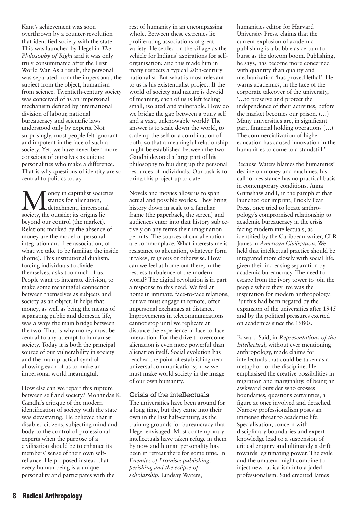Kant's achievement was soon overthrown by a counter-revolution that identified society with the state. This was launched by Hegel in *The Philosophy of Right* and it was only truly consummated after the First World War. As a result, the personal was separated from the impersonal, the subject from the object, humanism from science. Twentieth-century society was conceived of as an impersonal mechanism defined by international division of labour, national bureaucracy and scientific laws understood only by experts. Not surprisingly, most people felt ignorant and impotent in the face of such a society. Yet, we have never been more conscious of ourselves as unique personalities who make a difference. That is why questions of identity are so central to politics today.

Money in capitalist societies<br>
detachment, impersonal<br>
society the outside: its origins lie stands for alienation, society, the outside; its origins lie beyond our control (the market). Relations marked by the absence of money are the model of personal integration and free association, of what we take to be familiar, the inside (home). This institutional dualism, forcing individuals to divide themselves, asks too much of us. People want to integrate division, to make some meaningful connection between themselves as subjects and society as an object. It helps that money, as well as being the means of separating public and domestic life, was always the main bridge between the two. That is why money must be central to any attempt to humanise society. Today it is both the principal source of our vulnerability in society and the main practical symbol allowing each of us to make an impersonal world meaningful.

How else can we repair this rupture between self and society? Mohandas K. Gandhi's critique of the modern identification of society with the state was devastating. He believed that it disabled citizens, subjecting mind and body to the control of professional experts when the purpose of a civilisation should be to enhance its members' sense of their own selfreliance. He proposed instead that every human being is a unique personality and participates with the

rest of humanity in an encompassing whole. Between these extremes lie proliferating associations of great variety. He settled on the village as the vehicle for Indians' aspirations for selforganisation; and this made him in many respects a typical 20th-century nationalist. But what is most relevant to us is his existentialist project. If the world of society and nature is devoid of meaning, each of us is left feeling small, isolated and vulnerable. How do we bridge the gap between a puny self and a vast, unknowable world? The answer is to scale down the world, to scale up the self or a combination of both, so that a meaningful relationship might be established between the two. Gandhi devoted a large part of his philosophy to building up the personal resources of individuals. Our task is to bring this project up to date.

Novels and movies allow us to span actual and possible worlds. They bring history down in scale to a familiar frame (the paperback, the screen) and audiences enter into that history subjectively on any terms their imagination permits. The sources of our alienation are commonplace. What interests me is resistance to alienation, whatever form it takes, religious or otherwise. How can we feel at home out there, in the restless turbulence of the modern world? The digital revolution is in part a response to this need. We feel at home in intimate, face-to-face relations; but we must engage in remote, often impersonal exchanges at distance. Improvements in telecommunications cannot stop until we replicate at distance the experience of face-to-face interaction. For the drive to overcome alienation is even more powerful than alienation itself. Social evolution has reached the point of establishing nearuniversal communications; now we must make world society in the image of our own humanity.

#### Crisis of the intellectuals

The universities have been around for a long time, but they came into their own in the last half-century, as the training grounds for bureaucracy that Hegel envisaged. Most contemporary intellectuals have taken refuge in them by now and human personality has been in retreat there for some time. In *Enemies of Promise: publishing, perishing and the eclipse of scholarship*, Lindsay Waters,

humanities editor for Harvard University Press, claims that the current explosion of academic publishing is a bubble as certain to burst as the dotcom boom. Publishing, he says, has become more concerned with quantity than quality and mechanization 'has proved lethal'. He warns academics, in the face of the corporate takeover of the university, '…to preserve and protect the independence of their activities, before the market becomes our prison. (…) Many universities are, in significant part, financial holding operations (…) The commercialization of higher education has caused innovation in the humanities to come to a standstill.'

Because Waters blames the humanities' decline on money and machines, his call for resistance has no practical basis in contemporary conditions. Anna Grimshaw and I, in the pamphlet that launched our imprint, Prickly Pear Press, once tried to locate anthropology's compromised relationship to academic bureaucracy in the crisis facing modern intellectuals, as identified by the Caribbean writer, CLR James in *American Civilization*. We held that intellectual practice should be integrated more closely with social life, given their increasing separation by academic bureaucracy. The need to escape from the ivory tower to join the people where they live was the inspiration for modern anthropology. But this had been negated by the expansion of the universities after 1945 and by the political pressures exerted on academics since the 1980s.

Edward Said, in *Representations of the Intellectual*, without ever mentioning anthropology, made claims for intellectuals that could be taken as a metaphor for the discipline. He emphasised the creative possibilities in migration and marginality, of being an awkward outsider who crosses boundaries, questions certainties, a figure at once involved and detached. Narrow professionalism poses an immense threat to academic life. Specialisation, concern with disciplinary boundaries and expert knowledge lead to a suspension of critical enquiry and ultimately a drift towards legitimating power. The exile and the amateur might combine to inject new radicalism into a jaded professionalism. Said credited James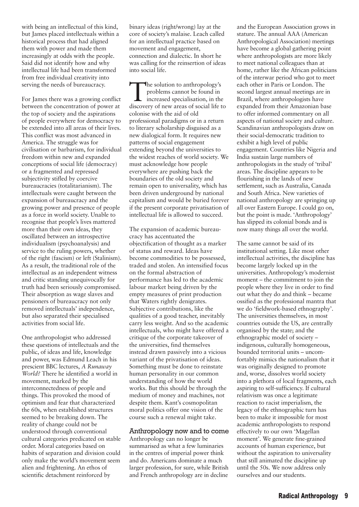with being an intellectual of this kind, but James placed intellectuals within a historical process that had aligned them with power and made them increasingly at odds with the people. Said did not identify how and why intellectual life had been transformed from free individual creativity into serving the needs of bureaucracy.

For James there was a growing conflict between the concentration of power at the top of society and the aspirations of people everywhere for democracy to be extended into all areas of their lives. This conflict was most advanced in America. The struggle was for civilisation or barbarism, for individual freedom within new and expanded conceptions of social life (democracy) or a fragmented and repressed subjectivity stifled by coercive bureaucracies (totalitarianism). The intellectuals were caught between the expansion of bureaucracy and the growing power and presence of people as a force in world society. Unable to recognise that people's lives mattered more than their own ideas, they oscillated between an introspective individualism (psychoanalysis) and service to the ruling powers, whether of the right (fascism) or left (Stalinism). As a result, the traditional role of the intellectual as an independent witness and critic standing unequivocally for truth had been seriously compromised. Their absorption as wage slaves and pensioners of bureaucracy not only removed intellectuals' independence, but also separated their specialised activities from social life.

One anthropologist who addressed these questions of intellectuals and the public, of ideas and life, knowledge and power, was Edmund Leach in his prescient BBC lectures, *A Runaway World?* There he identified a world in movement, marked by the interconnectedness of people and things. This provoked the mood of optimism and fear that characterized the 60s, when established structures seemed to be breaking down. The reality of change could not be understood through conventional cultural categories predicated on stable order. Moral categories based on habits of separation and division could only make the world's movement seem alien and frightening. An ethos of scientific detachment reinforced by

binary ideas (right/wrong) lay at the core of society's malaise. Leach called for an intellectual practice based on movement and engagement, connection and dialectic. In short he was calling for the reinsertion of ideas into social life.

The solution to anthropology's problems cannot be found in increased specialisation, in the discovery of new areas of social life to colonise with the aid of old professional paradigms or in a return to literary scholarship disguised as a new dialogical form. It requires new patterns of social engagement extending beyond the universities to the widest reaches of world society. We must acknowledge how people everywhere are pushing back the boundaries of the old society and remain open to universality, which has been driven underground by national capitalism and would be buried forever if the present corporate privatisation of intellectual life is allowed to succeed.

The expansion of academic bureaucracy has accentuated the objectification of thought as a marker of status and reward. Ideas have become commodities to be possessed, traded and stolen. An intensified focus on the formal abstraction of performance has led to the academic labour market being driven by the empty measures of print production that Waters rightly denigrates. Subjective contributions, like the qualities of a good teacher, inevitably carry less weight. And so the academic intellectuals, who might have offered a critique of the corporate takeover of the universities, find themselves instead drawn passively into a vicious variant of the privatisation of ideas. Something must be done to reinstate human personality in our common understanding of how the world works. But this should be through the medium of money and machines, not despite them. Kant's cosmopolitan moral politics offer one vision of the course such a renewal might take.

#### Anthropology now and to come

Anthropology can no longer be summarised as what a few luminaries in the centres of imperial power think and do. Americans dominate a much larger profession, for sure, while British and French anthropology are in decline

and the European Association grows in stature. The annual AAA (American Anthropological Association) meetings have become a global gathering point where anthropologists are more likely to meet national colleagues than at home, rather like the African politicians of the interwar period who got to meet each other in Paris or London. The second largest annual meetings are in Brazil, where anthropologists have expanded from their Amazonian base to offer informed commentary on all aspects of national society and culture. Scandinavian anthropologists draw on their social-democratic tradition to exhibit a high level of public engagement. Countries like Nigeria and India sustain large numbers of anthropologists in the study of 'tribal' areas. The discipline appears to be flourishing in the lands of new settlement, such as Australia, Canada and South Africa. New varieties of national anthropology are springing up all over Eastern Europe. I could go on, but the point is made. 'Anthropology' has slipped its colonial bonds and is now many things all over the world.

The same cannot be said of its institutional setting. Like most other intellectual activities, the discipline has become largely locked up in the universities. Anthropology's modernist moment – the commitment to join the people where they live in order to find out what they do and think – became ossified as the professional mantra that we do 'fieldwork-based ethnography'. The universities themselves, in most countries outside the US, are centrally organised by the state; and the ethnographic model of society – indigenous, culturally homogeneous, bounded territorial units – uncomfortably mimics the nationalism that it was originally designed to promote and, worse, dissolves world society into a plethora of local fragments, each aspiring to self-sufficiency. If cultural relativism was once a legitimate reaction to racist imperialism, the legacy of the ethnographic turn has been to make it impossible for most academic anthropologists to respond effectively to our own 'Magellan moment'. We generate fine-grained accounts of human experience, but without the aspiration to universality that still animated the discipline up until the 50s. We now address only ourselves and our students.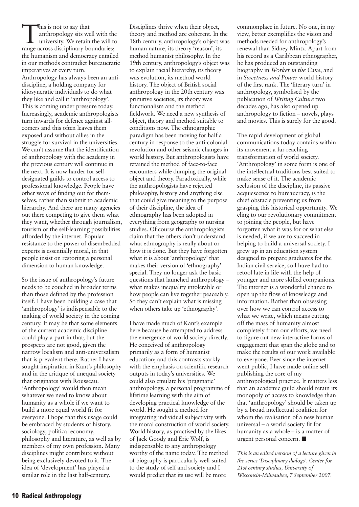This is not to say that<br>
anthropology sits well with the<br>
university. We retain the will to<br>
range across disciplinary boundaries: anthropology sits well with the range across disciplinary boundaries; the humanism and democracy entailed in our methods contradict bureaucratic imperatives at every turn. Anthropology has always been an antidiscipline, a holding company for idiosyncratic individuals to do what they like and call it 'anthropology'. This is coming under pressure today. Increasingly, academic anthropologists turn inwards for defence against allcomers and this often leaves them exposed and without allies in the struggle for survival in the universities. We can't assume that the identification of anthropology with the academy in the previous century will continue in the next. It is now harder for selfdesignated guilds to control access to professional knowledge. People have other ways of finding out for themselves, rather than submit to academic hierarchy. And there are many agencies out there competing to give them what they want, whether through journalism, tourism or the self-learning possibilities afforded by the internet. Popular resistance to the power of disembedded experts is essentially moral, in that people insist on restoring a personal dimension to human knowledge.

So the issue of anthropology's future needs to be couched in broader terms than those defined by the profession itself. I have been building a case that 'anthropology' is indispensable to the making of world society in the coming century. It may be that some elements of the current academic discipline could play a part in that; but the prospects are not good, given the narrow localism and anti-universalism that is prevalent there. Rather I have sought inspiration in Kant's philosophy and in the critique of unequal society that originates with Rousseau. 'Anthropology' would then mean whatever we need to know about humanity as a whole if we want to build a more equal world fit for everyone. I hope that this usage could be embraced by students of history, sociology, political economy, philosophy and literature, as well as by members of my own profession. Many disciplines might contribute without being exclusively devoted to it. The idea of 'development' has played a similar role in the last half-century.

Disciplines thrive when their object, theory and method are coherent. In the 18th century, anthropology's object was human nature, its theory 'reason', its method humanist philosophy. In the 19th century, anthropology's object was to explain racial hierarchy, its theory was evolution, its method world history. The object of British social anthropology in the 20th century was primitive societies, its theory was functionalism and the method fieldwork. We need a new synthesis of object, theory and method suitable to conditions now. The ethnographic paradigm has been moving for half a century in response to the anti-colonial revolution and other seismic changes in world history. But anthropologists have retained the method of face-to-face encounters while dumping the original object and theory. Paradoxically, while the anthropologists have rejected philosophy, history and anything else that could give meaning to the purpose of their discipline, the idea of ethnography has been adopted in everything from geography to nursing studies. Of course the anthropologists claim that the others don't understand what ethnography is really about or how it is done. But they have forgotten what it is about 'anthropology' that makes their version of 'ethnography' special. They no longer ask the basic questions that launched anthropology – what makes inequality intolerable or how people can live together peaceably. So they can't explain what is missing when others take up 'ethnography'.

I have made much of Kant's example here because he attempted to address the emergence of world society directly. He conceived of anthropology primarily as a form of humanist education; and this contrasts starkly with the emphasis on scientific research outputs in today's universities. We could also emulate his 'pragmatic' anthropology, a personal programme of lifetime learning with the aim of developing practical knowledge of the world. He sought a method for integrating individual subjectivity with the moral construction of world society. World history, as practised by the likes of Jack Goody and Eric Wolf, is indispensable to any anthropology worthy of the name today. The method of biography is particularly well-suited to the study of self and society and I would predict that its use will be more

commonplace in future. No one, in my view, better exemplifies the vision and methods needed for anthropology's renewal than Sidney Mintz. Apart from his record as a Caribbean ethnographer, he has produced an outstanding biography in *Worker in the Cane*, and in *Sweetness and Power* world history of the first rank. The 'literary turn' in anthropology, symbolised by the publication of *Writing Culture* two decades ago, has also opened up anthropology to fiction – novels, plays and movies. This is surely for the good.

The rapid development of global communications today contains within its movement a far-reaching transformation of world society. 'Anthropology' in some form is one of the intellectual traditions best suited to make sense of it. The academic seclusion of the discipline, its passive acquiescence to bureaucracy, is the chief obstacle preventing us from grasping this historical opportunity. We cling to our revolutionary commitment to joining the people, but have forgotten what it was for or what else is needed, if we are to succeed in helping to build a universal society. I grew up in an education system designed to prepare graduates for the Indian civil service, so I have had to retool late in life with the help of younger and more skilled companions. The internet is a wonderful chance to open up the flow of knowledge and information. Rather than obsessing over how we can control access to what we write, which means cutting off the mass of humanity almost completely from our efforts, we need to figure out new interactive forms of engagement that span the globe and to make the results of our work available to everyone. Ever since the internet went public, I have made online selfpublishing the core of my anthropological practice. It matters less that an academic guild should retain its monopoly of access to knowledge than that 'anthropology' should be taken up by a broad intellectual coalition for whom the realisation of a new human universal – a world society fit for humanity as a whole – is a matter of urgent personal concern. ■

*This is an edited version of a lecture given in the series 'Disciplinary dialogs', Center for 21st century studies, University of Wisconsin-Milwaukee, 7 September 2007.*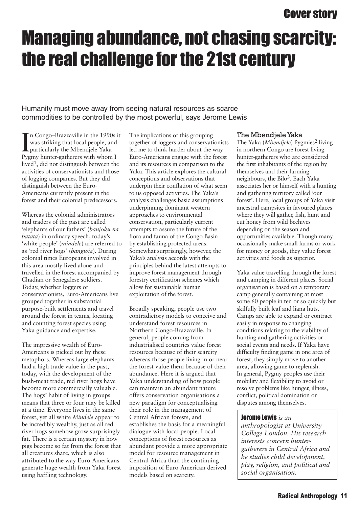## Managing abundance, not chasing scarcity: the real challenge for the 21st century

Humanity must move away from seeing natural resources as scarce commodities to be controlled by the most powerful, says Jerome Lewis

In Congo-Brazzaville in the 1990<br>was striking that local people, and<br>particularly the Mbendjele Yaka<br>Pygmy hunter-gatherers with whom n Congo–Brazzaville in the 1990s it was striking that local people, and Pygmy hunter-gatherers with whom I lived1, did not distinguish between the activities of conservationists and those of logging companies. But they did distinguish between the Euro-Americans currently present in the forest and their colonial predecessors.

Whereas the colonial administrators and traders of the past are called 'elephants of our fathers' (*banjoku na batata*) in ordinary speech, today's 'white people' (*mindele*) are referred to as 'red river hogs' (*bangwia*). During colonial times Europeans involved in this area mostly lived alone and travelled in the forest accompanied by Chadian or Senegalese soldiers. Today, whether loggers or conservationists, Euro-Americans live grouped together in substantial purpose-built settlements and travel around the forest in teams, locating and counting forest species using Yaka guidance and expertise.

The impressive wealth of Euro-Americans is picked out by these metaphors. Whereas large elephants had a high trade value in the past, today, with the development of the bush-meat trade, red river hogs have become more commercially valuable. The hogs' habit of living in groups means that three or four may be killed at a time. Everyone lives in the same forest, yet all white *Mindele* appear to be incredibly wealthy, just as all red river hogs somehow grow surprisingly fat. There is a certain mystery in how pigs become so fat from the forest that all creatures share, which is also attributed to the way Euro-Americans generate huge wealth from Yaka forest using baffling technology.

The implications of this grouping together of loggers and conservationists led me to think harder about the way Euro-Americans engage with the forest and its resources in comparison to the Yaka. This article explores the cultural conceptions and observations that underpin their conflation of what seem to us opposed activities. The Yaka's analysis challenges basic assumptions underpinning dominant western approaches to environmental conservation, particularly current attempts to assure the future of the flora and fauna of the Congo Basin by establishing protected areas. Somewhat surprisingly, however, the Yaka's analysis accords with the principles behind the latest attempts to improve forest management through forestry certification schemes which allow for sustainable human exploitation of the forest.

Broadly speaking, people use two contradictory models to conceive and understand forest resources in Northern Congo-Brazzaville. In general, people coming from industrialised countries value forest resources because of their scarcity whereas those people living in or near the forest value them because of their abundance. Here it is argued that Yaka understanding of how people can maintain an abundant nature offers conservation organisations a new paradigm for conceptualising their role in the management of Central African forests, and establishes the basis for a meaningful dialogue with local people. Local conceptions of forest resources as abundant provide a more appropriate model for resource management in Central Africa than the continuing imposition of Euro-American derived models based on scarcity.

#### The MbendjeleYaka

The Yaka (*Mbendjele*) Pygmies2 living in northern Congo are forest living hunter-gatherers who are considered the first inhabitants of the region by themselves and their farming neighbours, the Bilo3. Each Yaka associates her or himself with a hunting and gathering territory called 'our forest'. Here, local groups of Yaka visit ancestral campsites in favoured places where they will gather, fish, hunt and cut honey from wild beehives depending on the season and opportunities available. Though many occasionally make small farms or work for money or goods, they value forest activities and foods as superior.

Yaka value travelling through the forest and camping in different places. Social organisation is based on a temporary camp generally containing at most some 60 people in ten or so quickly but skilfully built leaf and liana huts. Camps are able to expand or contract easily in response to changing conditions relating to the viability of hunting and gathering activities or social events and needs. If Yaka have difficulty finding game in one area of forest, they simply move to another area, allowing game to replenish. In general, Pygmy peoples use their mobility and flexibility to avoid or resolve problems like hunger, illness, conflict, political domination or disputes among themselves.

#### Jerome Lewis *is an*

*anthropologist at University College London. His research interests concern huntergatherers in Central Africa and he studies child development, play, religion, and political and social organisation.*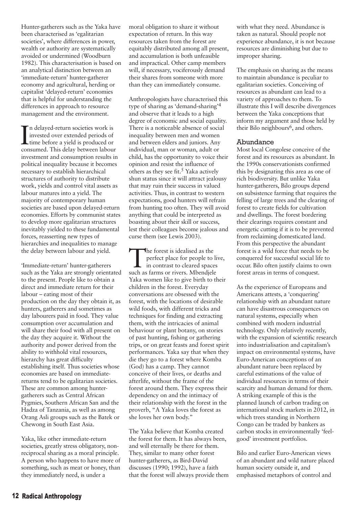Hunter-gatherers such as the Yaka have been characterised as 'egalitarian societies', where differences in power, wealth or authority are systematically avoided or undermined (Woodburn 1982). This characterisation is based on an analytical distinction between an 'immediate-return' hunter-gatherer economy and agricultural, herding or capitalist 'delayed-return' economies that is helpful for understanding the differences in approach to resource management and the environment.

In delayed-return societies work is<br>invested over extended periods of<br>time before a yield is produced or<br>consumed. This delay between labou n delayed-return societies work is invested over extended periods of consumed. This delay between labour investment and consumption results in political inequality because it becomes necessary to establish hierarchical structures of authority to distribute work, yields and control vital assets as labour matures into a yield. The majority of contemporary human societies are based upon delayed-return economies. Efforts by communist states to develop more egalitarian structures inevitably yielded to these fundamental forces, reasserting new types of hierarchies and inequalities to manage the delay between labour and yield.

'Immediate-return' hunter-gatherers such as the Yaka are strongly orientated to the present. People like to obtain a direct and immediate return for their labour – eating most of their production on the day they obtain it, as hunters, gatherers and sometimes as day labourers paid in food. They value consumption over accumulation and will share their food with all present on the day they acquire it. Without the authority and power derived from the ability to withhold vital resources, hierarchy has great difficulty establishing itself. Thus societies whose economies are based on immediatereturns tend to be egalitarian societies. These are common among huntergatherers such as Central African Pygmies, Southern African San and the Hadza of Tanzania, as well as among Orang Asli groups such as the Batek or Chewong in South East Asia.

Yaka, like other immediate-return societies, greatly stress obligatory, nonreciprocal sharing as a moral principle. A person who happens to have more of something, such as meat or honey, than they immediately need, is under a

moral obligation to share it without expectation of return. In this way resources taken from the forest are equitably distributed among all present, and accumulation is both unfeasible and impractical. Other camp members will, if necessary, vociferously demand their shares from someone with more than they can immediately consume.

Anthropologists have characterised this type of sharing as 'demand-sharing' 4 and observe that it leads to a high degree of economic and social equality. There is a noticeable absence of social inequality between men and women and between elders and juniors. Any individual, man or woman, adult or child, has the opportunity to voice their opinion and resist the influence of others as they see fit. <sup>5</sup> Yaka actively shun status since it will attract jealousy that may ruin their success in valued activities. Thus, in contrast to western expectations, good hunters will refrain from hunting too often. They will avoid anything that could be interpreted as boasting about their skill or success, lest their colleagues become jealous and curse them (see Lewis 2003).

The forest is idealised as the perfect place for people to live, in contrast to cleared spaces such as farms or rivers. Mbendjele Yaka women like to give birth to their children in the forest. Everyday conversations are obsessed with the forest, with the locations of desirable wild foods, with different tricks and techniques for finding and extracting them, with the intricacies of animal behaviour or plant botany, on stories of past hunting, fishing or gathering trips, or on great feasts and forest spirit performances. Yaka say that when they die they go to a forest where Komba (God) has a camp. They cannot conceive of their lives, or deaths and afterlife, without the frame of the forest around them. They express their dependency on and the intimacy of their relationship with the forest in the proverb, "A Yaka loves the forest as she loves her own body."

The Yaka believe that Komba created the forest for them. It has always been, and will eternally be there for them. They, similar to many other forest hunter-gatherers, as Bird-David discusses (1990; 1992), have a faith that the forest will always provide them with what they need. Abundance is taken as natural. Should people not experience abundance, it is not because resources are diminishing but due to improper sharing.

The emphasis on sharing as the means to maintain abundance is peculiar to egalitarian societies. Conceiving of resources as abundant can lead to a variety of approaches to them. To illustrate this I will describe divergences between the Yaka conceptions that inform my argument and those held by their Bilo neighbours<sup>6</sup>, and others.

#### Abundance

Most local Congolese conceive of the forest and its resources as abundant. In the 1990s conservationists confirmed this by designating this area as one of rich biodiversity. But unlike Yaka hunter-gatherers, Bilo groups depend on subsistence farming that requires the felling of large trees and the clearing of forest to create fields for cultivation and dwellings. The forest bordering their clearings requires constant and energetic cutting if it is to be prevented from reclaiming domesticated land. From this perspective the abundant forest is a wild force that needs to be conquered for successful social life to occur. Bilo often justify claims to own forest areas in terms of conquest.

As the experience of Europeans and Americans attests, a 'conquering' relationship with an abundant nature can have disastrous consequences on natural systems, especially when combined with modern industrial technology. Only relatively recently, with the expansion of scientific research into industrialisation and capitalism's impact on environmental systems, have Euro-American conceptions of an abundant nature been replaced by careful estimations of the value of individual resources in terms of their scarcity and human demand for them. A striking example of this is the planned launch of carbon trading on international stock markets in 2012, in which trees standing in Northern Congo can be traded by bankers as carbon stocks in environmentally 'feelgood' investment portfolios.

Bilo and earlier Euro-American views of an abundant and wild nature placed human society outside it, and emphasised metaphors of control and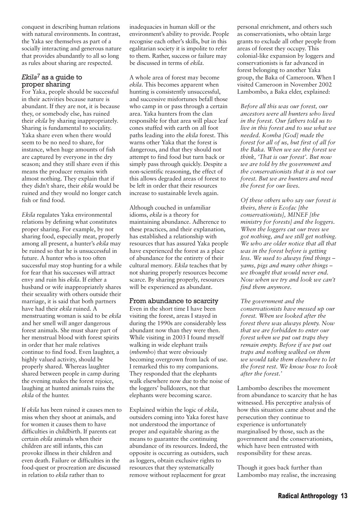conquest in describing human relations with natural environments. In contrast, the Yaka see themselves as part of a socially interacting and generous nature that provides abundantly to all so long as rules about sharing are respected.

#### *Ekila7* as a guide to proper sharing

For Yaka, people should be successful in their activities because nature is abundant. If they are not, it is because they, or somebody else, has ruined their *ekila* by sharing inappropriately. Sharing is fundamental to sociality. Yaka share even when there would seem to be no need to share, for instance, when huge amounts of fish are captured by everyone in the dry season; and they still share even if this means the producer remains with almost nothing. They explain that if they didn't share, their *ekila* would be ruined and they would no longer catch fish or find food.

*Ekila* regulates Yaka environmental relations by defining what constitutes proper sharing. For example, by not sharing food, especially meat, properly among all present, a hunter's *ekila* may be ruined so that he is unsuccessful in future. A hunter who is too often successful may stop hunting for a while for fear that his successes will attract envy and ruin his *ekila*. If either a husband or wife inappropriately shares their sexuality with others outside their marriage, it is said that both partners have had their *ekila* ruined. A menstruating woman is said to be *ekila* and her smell will anger dangerous forest animals. She must share part of her menstrual blood with forest spirits in order that her male relatives continue to find food. Even laughter, a highly valued activity, should be properly shared. Whereas laughter shared between people in camp during the evening makes the forest rejoice, laughing at hunted animals ruins the *ekila* of the hunter.

If *ekila* has been ruined it causes men to miss when they shoot at animals, and for women it causes them to have difficulties in childbirth. If parents eat certain *ekila* animals when their children are still infants, this can provoke illness in their children and even death. Failure or difficulties in the food-quest or procreation are discussed in relation to *ekila* rather than to

inadequacies in human skill or the environment's ability to provide. People recognise each other's skills, but in this egalitarian society it is impolite to refer to them. Rather, success or failure may be discussed in terms of *ekila*.

A whole area of forest may become *ekila*. This becomes apparent when hunting is consistently unsuccessful, and successive misfortunes befall those who camp in or pass through a certain area. Yaka hunters from the clan responsible for that area will place leaf cones stuffed with earth on all foot paths leading into the *ekila* forest. This warns other Yaka that the forest is dangerous, and that they should not attempt to find food but turn back or simply pass through quickly. Despite a non-scientific reasoning, the effect of this allows degraded areas of forest to be left in order that their resources increase to sustainable levels again.

Although couched in unfamiliar idioms, *ekila* is a theory for maintaining abundance. Adherence to these practices, and their explanation, has established a relationship with resources that has assured Yaka people have experienced the forest as a place of abundance for the entirety of their cultural memory. *Ekila* teaches that by not sharing properly resources become scarce. By sharing properly, resources will be experienced as abundant.

#### From abundance to scarcity

Even in the short time I have been visiting the forest, areas I stayed in during the 1990s are considerably less abundant now than they were then. While visiting in 2003 I found myself walking in wide elephant trails (*mbembo*) that were obviously becoming overgrown from lack of use. I remarked this to my companions. They responded that the elephants walk elsewhere now due to the noise of the loggers' bulldozers, not that elephants were becoming scarce.

Explained within the logic of *ekila*, outsiders coming into Yaka forest have not understood the importance of proper and equitable sharing as the means to guarantee the continuing abundance of its resources. Indeed, the opposite is occurring as outsiders, such as loggers, obtain exclusive rights to resources that they systematically remove without replacement for great

personal enrichment, and others such as conservationists, who obtain large grants to exclude all other people from areas of forest they occupy. This colonial-like expansion by loggers and conservationists is far advanced in forest belonging to another Yaka group, the Baka of Cameroon. When I visited Cameroon in November 2002 Lambombo, a Baka elder, explained:

*Before all this was our forest, our ancestors were all hunters who lived in the forest. Our fathers told us to live in this forest and to use what we needed. Komba [God] made the forest for all of us, but first of all for the Baka. When we see the forest we think, 'That is our forest'. But now we are told by the government and the conservationists that it is not our forest. But we are hunters and need the forest for our lives.*

*Of these others who say our forest is theirs, there is Ecofac [the conservationists], MINEF [the ministry for forests] and the loggers. When the loggers cut our trees we got nothing, and we still get nothing. We who are older notice that all that was in the forest before is getting less. We used to always find things – yams, pigs and many other things – we thought that would never end. Now when we try and look we can't find them anymore.*

*The government and the conservationists have messed up our forest. When we looked after the forest there was always plenty. Now that we are forbidden to enter our forest when we put out traps they remain empty. Before if we put out traps and nothing walked on them we would take them elsewhere to let the forest rest. We know how to look after the forest.'*

Lambombo describes the movement from abundance to scarcity that he has witnessed. His perceptive analysis of how this situation came about and the persecution they continue to experience is unfortunately marginalised by those, such as the government and the conservationists, which have been entrusted with responsibility for these areas.

Though it goes back further than Lambombo may realise, the increasing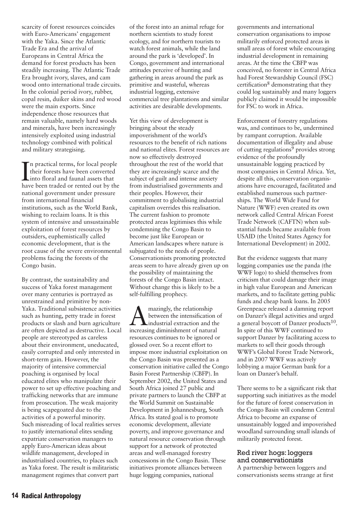scarcity of forest resources coincides with Euro-Americans' engagement with the Yaka. Since the Atlantic Trade Era and the arrival of Europeans in Central Africa the demand for forest products has been steadily increasing. The Atlantic Trade Era brought ivory, slaves, and cam wood onto international trade circuits. In the colonial period ivory, rubber, copal resin, duiker skins and red wood were the main exports. Since independence those resources that remain valuable, namely hard woods and minerals, have been increasingly intensively exploited using industrial technology combined with political and military strategising.

In practical terms, for local people<br>their forests have been converted<br>into floral and faunal assets that<br>have been traded or rented out by the n practical terms, for local people their forests have been converted Linto floral and faunal assets that national government under pressure from international financial institutions, such as the World Bank, wishing to reclaim loans. It is this system of intensive and unsustainable exploitation of forest resources by outsiders, euphemistically called economic development, that is the root cause of the severe environmental problems facing the forests of the Congo basin.

By contrast, the sustainability and success of Yaka forest management over many centuries is portrayed as unrestrained and primitive by non-Yaka. Traditional subsistence activities such as hunting, petty trade in forest products or slash and burn agriculture are often depicted as destructive. Local people are stereotyped as careless about their environment, uneducated, easily corrupted and only interested in short-term gain. However, the majority of intensive commercial poaching is organised by local educated elites who manipulate their power to set up effective poaching and trafficking networks that are immune from prosecution. The weak majority is being scapegoated due to the activities of a powerful minority. Such misreading of local realities serves to justify international elites sending expatriate conservation managers to apply Euro-American ideas about wildlife management, developed in industrialised countries, to places such as Yaka forest. The result is militaristic management regimes that convert part

of the forest into an animal refuge for northern scientists to study forest ecology, and for northern tourists to watch forest animals, while the land around the park is 'developed'. In Congo, government and international attitudes perceive of hunting and gathering in areas around the park as primitive and wasteful, whereas industrial logging, extensive commercial tree plantations and similar activities are desirable developments.

Yet this view of development is bringing about the steady impoverishment of the world's resources to the benefit of rich nations and national elites. Forest resources are now so effectively destroyed throughout the rest of the world that they are increasingly scarce and the subject of guilt and intense anxiety from industrialised governments and their peoples. However, their commitment to globalising industrial capitalism overrides this realisation. The current fashion to promote protected areas legitimises this while condemning the Congo Basin to become just like European or American landscapes where nature is subjugated to the needs of people. Conservationists promoting protected areas seem to have already given up on the possibility of maintaining the forests of the Congo Basin intact. Without change this is likely to be a self-fulfilling prophecy.

mazingly, the relationship between the intensification of industrial extraction and the increasing diminishment of natural resources continues to be ignored or glossed over. So a recent effort to impose more industrial exploitation on the Congo Basin was presented as a conservation initiative called the Congo Basin Forest Partnership (CBFP). In September 2002, the United States and South Africa joined 27 public and private partners to launch the CBFP at the World Summit on Sustainable Development in Johannesburg, South Africa. Its stated goal is to promote economic development, alleviate poverty, and improve governance and natural resource conservation through support for a network of protected areas and well-managed forestry concessions in the Congo Basin. These initiatives promote alliances between huge logging companies, national

governments and international conservation organisations to impose militarily enforced protected areas in small areas of forest while encouraging industrial development in remaining areas. At the time the CBFP was conceived, no forester in Central Africa had Forest Stewardship Council (FSC) certification<sup>8</sup> demonstrating that they could log sustainably and many loggers publicly claimed it would be impossible for FSC to work in Africa.

Enforcement of forestry regulations was, and continues to be, undermined by rampant corruption. Available documentation of illegality and abuse of cutting regulations $\overline{9}$  provides strong evidence of the profoundly unsustainable logging practiced by most companies in Central Africa. Yet, despite all this, conservation organisations have encouraged, facilitated and established numerous such partnerships. The World Wide Fund for Nature (WWF) even created its own network called Central African Forest Trade Network (CAFTN) when substantial funds became available from USAID (the United States Agency for International Development) in 2002.

But the evidence suggests that many logging companies use the panda (the WWF logo) to shield themselves from criticism that could damage their image in high value European and American markets, and to facilitate getting public funds and cheap bank loans. In 2005 Greenpeace released a damning report on Danzer's illegal activities and urged a general boycott of Danzer products $10$ . In spite of this WWF continued to support Danzer by facilitating access to markets to sell their goods through WWF's Global Forest Trade Network, and in 2007 WWF was actively lobbying a major German bank for a loan on Danzer's behalf.

There seems to be a significant risk that supporting such initiatives as the model for the future of forest conservation in the Congo Basin will condemn Central Africa to become an expanse of unsustainably logged and impoverished woodland surrounding small islands of militarily protected forest.

#### Red river hogs:loggers and conservationists

A partnership between loggers and conservationists seems strange at first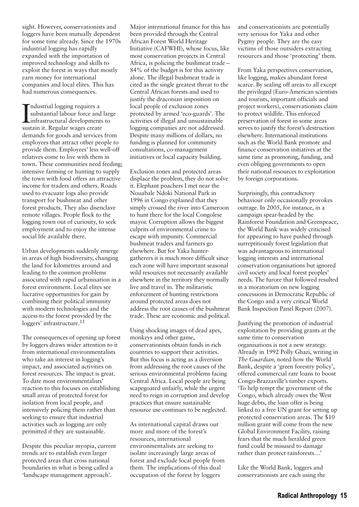sight. However, conservationists and loggers have been mutually dependent for some time already. Since the 1970s industrial logging has rapidly expanded with the importation of improved technology and skills to exploit the forest in ways that mostly earn money for international companies and local elites. This has had numerous consequences.

Industrial logging requires a<br>substantial labour force and lar<br>infrastructural developments to<br>sustain it. Reqular wages create ndustrial logging requires a substantial labour force and large sustain it. Regular wages create demands for goods and services from employees that attract other people to provide them. Employees' less well-off relatives come to live with them in town. These communities need feeding; intensive farming or hunting to supply the town with food offers an attractive income for traders and others. Roads used to evacuate logs also provide transport for bushmeat and other forest products. They also disenclave remote villages. People flock to the logging town out of curiosity, to seek employment and to enjoy the intense social life available there.

Urban developments suddenly emerge in areas of high biodiversity, changing the land for kilometres around and leading to the common problems associated with rapid urbanisation in a forest environment. Local elites see lucrative opportunities for gain by combining their political immunity with modern technologies and the access to the forest provided by the loggers' infrastructure.<sup>11</sup>

The consequences of opening up forest by loggers draws wider attention to it from international environmentalists who take an interest in logging's impact, and associated activities on forest resources. The impact is great. To date most environmentalists' reaction to this focuses on establishing small areas of protected forest for isolation from local people, and intensively policing them rather than seeking to ensure that industrial activities such as logging are only permitted if they are sustainable.

Despite this peculiar myopia, current trends are to establish even larger protected areas that cross national boundaries in what is being called a 'landscape management approach'.

Major international finance for this has been provided through the Central African Forest World Heritage Initiative (CAFWHI), whose focus, like most conservation projects in Central Africa, is policing the bushmeat trade – 84% of the budget is for this activity alone. The illegal bushmeat trade is cited as the single greatest threat to the Central African forests and used to justify the draconian imposition on local people of exclusion zones protected by armed 'eco-guards'. The activities of illegal and unsustainable logging companies are not addressed. Despite many millions of dollars, no funding is planned for community consultations, co-management initiatives or local capacity building.

Exclusion zones and protected areas displace the problem, they do not solve it. Elephant poachers I met near the Nouabale Ndoki National Park in 1996 in Congo explained that they simply crossed the river into Cameroon to hunt there for the local Congolese mayor. Corruption allows the biggest culprits of environmental crime to escape with impunity. Commercial bushmeat traders and farmers go elsewhere. But for Yaka huntergatherers it is much more difficult since each zone will have important seasonal wild resources not necessarily available elsewhere in the territory they normally live and travel in. The militaristic enforcement of hunting restrictions around protected areas does not address the root causes of the bushmeat trade. These are economic and political.

Using shocking images of dead apes, monkeys and other game, conservationists obtain funds in rich countries to support their activities. But this focus is acting as a diversion from addressing the root causes of the serious environmental problems facing Central Africa. Local people are being scapegoated unfairly, while the urgent need to reign in corruption and develop practices that ensure sustainable resource use continues to be neglected.

As international capital draws out more and more of the forest's resources, international environmentalists are seeking to isolate increasingly large areas of forest and exclude local people from them. The implications of this dual occupation of the forest by loggers

and conservationists are potentially very serious for Yaka and other Pygmy people. They are the easy victims of those outsiders extracting resources and those 'protecting' them.

From Yaka perspectives conservation, like logging, makes abundant forest scarce. By sealing off areas to all except the privileged (Euro-American scientists and tourists, important officials and project workers), conservationists claim to protect wildlife. This enforced preservation of forest in some areas serves to justify the forest's destruction elsewhere. International institutions such as the World Bank promote and finance conservation initiatives at the same time as promoting, funding, and even obliging governments to open their national resources to exploitation by foreign corporations.

Surprisingly, this contradictory behaviour only occasionally provokes outrage. In 2005, for instance, in a campaign spear-headed by the Rainforest Foundation and Greenpeace, the World Bank was widely criticised for appearing to have pushed through surreptitiously forest legislation that was advantageous to international logging interests and international conservation organisations but ignored civil society and local forest peoples' needs. The furore that followed resulted in a moratorium on new logging concessions in Democratic Republic of the Congo and a very critical World Bank Inspection Panel Report (2007).

Justifying the promotion of industrial exploitation by providing grants at the same time to conservation organisations is not a new strategy. Already in 1992 Polly Ghazi, writing in *The Guardian*, noted how the World Bank, despite a 'green forestry policy', offered commercial rate loans to boost Congo-Brazzaville's timber exports. 'To help tempt the government of the Congo, which already owes the West huge debts, the loan offer is being linked to a free UN grant for setting up protected conservation areas. The \$10 million grant will come from the new Global Environment Facility, raising fears that the much heralded green fund could be misused to damage rather than protect rainforests…'

Like the World Bank, loggers and conservationists are each using the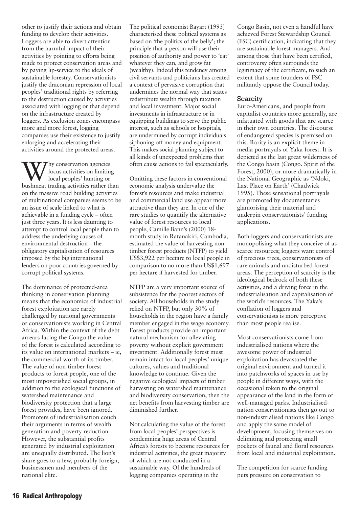other to justify their actions and obtain funding to develop their activities. Loggers are able to divert attention from the harmful impact of their activities by pointing to efforts being made to protect conservation areas and by paying lip-service to the ideals of sustainable forestry. Conservationists justify the draconian repression of local peoples' traditional rights by referring to the destruction caused by activities associated with logging or that depend on the infrastructure created by loggers. As exclusion zones encompass more and more forest, logging companies use their existence to justify enlarging and accelerating their activities around the protected areas.

 $\mathbf{T}$ hy conservation agencies focus activities on limiting local peoples' hunting or bushmeat trading activities rather than on the massive road building activities of multinational companies seems to be an issue of scale linked to what is achievable in a funding cycle – often just three years. It is less daunting to attempt to control local people than to address the underlying causes of environmental destruction – the obligatory capitalisation of resources imposed by the big international lenders on poor countries governed by corrupt political systems.

The dominance of protected-area thinking in conservation planning means that the economics of industrial forest exploitation are rarely challenged by national governments or conservationists working in Central Africa. Within the context of the debt arrears facing the Congo the value of the forest is calculated according to its value on international markets – ie, the commercial worth of its timber. The value of non-timber forest products to forest people, one of the most impoverished social groups, in addition to the ecological functions of watershed maintenance and biodiversity protection that a large forest provides, have been ignored. Promoters of industrialisation couch their arguments in terms of wealth generation and poverty reduction. However, the substantial profits generated by industrial exploitation are unequally distributed. The lion's share goes to a few, probably foreign, businessmen and members of the national elite.

The political economist Bayart (1993) characterised these political systems as based on 'the politics of the belly'; the principle that a person will use their position of authority and power to 'eat' whatever they can, and grow fat (wealthy). Indeed this tendency among civil servants and politicians has created a context of pervasive corruption that undermines the normal way that states redistribute wealth through taxation and local investment. Major social investments in infrastructure or in equipping buildings to serve the public interest, such as schools or hospitals, are undermined by corrupt individuals siphoning off money and equipment. This makes social planning subject to all kinds of unexpected problems that often cause actions to fail spectacularly.

Omitting these factors in conventional economic analysis undervalue the forest's resources and make industrial and commercial land use appear more attractive than they are. In one of the rare studies to quantify the alternative value of forest resources to local people, Camille Bann's (2000) 18 month study in Ratanakiri, Cambodia, estimated the value of harvesting nontimber forest products (NTFP) to yield US\$3,922 per hectare to local people in comparison to no more than US\$1,697 per hectare if harvested for timber.

NTFP are a very important source of subsistence for the poorest sectors of society. All households in the study relied on NTFP, but only 30% of households in the region have a family member engaged in the wage economy. Forest products provide an important natural mechanism for alleviating poverty without explicit government investment. Additionally forest must remain intact for local peoples' unique cultures, values and traditional knowledge to continue. Given the negative ecological impacts of timber harvesting on watershed maintenance and biodiversity conservation, then the net benefits from harvesting timber are diminished further.

Not calculating the value of the forest from local peoples' perspectives is condemning huge areas of Central Africa's forests to become resources for industrial activities, the great majority of which are not conducted in a sustainable way. Of the hundreds of logging companies operating in the

Congo Basin, not even a handful have achieved Forest Stewardship Council (FSC) certification, indicating that they are sustainable forest managers. And among those that have been certified, controversy often surrounds the legitimacy of the certificate, to such an extent that some founders of FSC militantly oppose the Council today.

#### **Scarcity**

Euro-Americans, and people from capitalist countries more generally, are infatuated with goods that are scarce in their own countries. The discourse of endangered species is premised on this. Rarity is an explicit theme in media portrayals of Yaka forest. It is depicted as the last great wilderness of the Congo basin (Congo. Spirit of the Forest, 2000), or more dramatically in the National Geographic as 'Ndoki, Last Place on Earth' (Chadwick 1995). These sensational portrayals are promoted by documentaries glamorising their material and underpin conservationists' funding applications.

Both loggers and conservationists are monopolising what they conceive of as scarce resources; loggers want control of precious trees, conservationists of rare animals and undisturbed forest areas. The perception of scarcity is the ideological bedrock of both these activities, and a driving force in the industrialisation and capitalisation of the world's resources. The Yaka's conflation of loggers and conservationists is more perceptive than most people realise.

Most conservationists come from industrialised nations where the awesome power of industrial exploitation has devastated the original environment and turned it into patchworks of spaces in use by people in different ways, with the occasional token to the original appearance of the land in the form of well-managed parks. Industrialisednation conservationists then go out to non-industrialised nations like Congo and apply the same model of development, focusing themselves on delimiting and protecting small pockets of faunal and floral resources from local and industrial exploitation.

The competition for scarce funding puts pressure on conservation to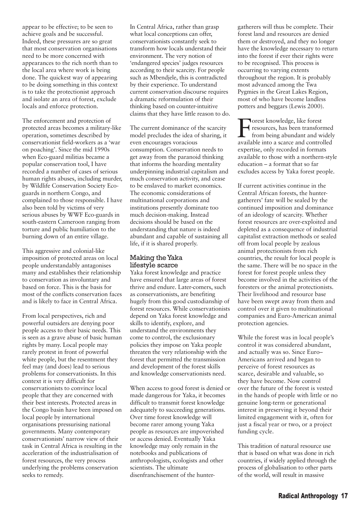appear to be effective; to be seen to achieve goals and be successful. Indeed, these pressures are so great that most conservation organisations need to be more concerned with appearances to the rich north than to the local area where work is being done. The quickest way of appearing to be doing something in this context is to take the protectionist approach and isolate an area of forest, exclude locals and enforce protection.

The enforcement and protection of protected areas becomes a military-like operation, sometimes described by conservationist field-workers as a 'war on poaching'. Since the mid 1990s when Eco-guard militias became a popular conservation tool, I have recorded a number of cases of serious human rights abuses, including murder, by Wildlife Conservation Society Ecoguards in northern Congo, and complained to those responsible. I have also been told by victims of very serious abuses by WWF Eco-guards in south-eastern Cameroon ranging from torture and public humiliation to the burning down of an entire village.

This aggressive and colonial-like imposition of protected areas on local people understandably antagonises many and establishes their relationship to conservation as involuntary and based on force. This is the basis for most of the conflicts conservation faces and is likely to face in Central Africa.

From local perspectives, rich and powerful outsiders are denying poor people access to their basic needs. This is seen as a grave abuse of basic human rights by many. Local people may rarely protest in front of powerful white people, but the resentment they feel may (and does) lead to serious problems for conservationists. In this context it is very difficult for conservationists to convince local people that they are concerned with their best interests. Protected areas in the Congo basin have been imposed on local people by international organisations pressurising national governments. Many contemporary conservationists' narrow view of their task in Central Africa is resulting in the acceleration of the industrialisation of forest resources, the very process underlying the problems conservation seeks to remedy.

In Central Africa, rather than grasp what local conceptions can offer, conservationists constantly seek to transform how locals understand their environment. The very notion of 'endangered species' judges resources according to their scarcity. For people such as Mbendjele, this is contradicted by their experience. To understand current conservation discourse requires a dramatic reformulation of their thinking based on counter-intuitive claims that they have little reason to do.

The current dominance of the scarcity model precludes the idea of sharing, it even encourages voracious consumption. Conservation needs to get away from the paranoid thinking that informs the hoarding mentality underpinning industrial capitalism and much conservation activity, and cease to be enslaved to market economics. The economic considerations of multinational corporations and institutions presently dominate too much decision-making. Instead decisions should be based on the understanding that nature is indeed abundant and capable of sustaining all life, if it is shared properly.

#### Making theYaka lifestyle scarce

Yaka forest knowledge and practice have ensured that large areas of forest thrive and endure. Later-comers, such as conservationists, are benefiting hugely from this good custodianship of forest resources. While conservationists depend on Yaka forest knowledge and skills to identify, explore, and understand the environments they come to control, the exclusionary policies they impose on Yaka people threaten the very relationship with the forest that permitted the transmission and development of the forest skills and knowledge conservationists need.

When access to good forest is denied or made dangerous for Yaka, it becomes difficult to transmit forest knowledge adequately to succeeding generations. Over time forest knowledge will become rarer among young Yaka people as resources are impoverished or access denied. Eventually Yaka knowledge may only remain in the notebooks and publications of anthropologists, ecologists and other scientists. The ultimate disenfranchisement of the huntergatherers will thus be complete. Their forest land and resources are denied them or destroyed, and they no longer have the knowledge necessary to return into the forest if ever their rights were to be recognised. This process is occurring to varying extents throughout the region. It is probably most advanced among the Twa Pygmies in the Great Lakes Region, most of who have become landless potters and beggars (Lewis 2000).

Forest knowledge, like forest<br>resources, has been transfor<br>from being abundant and w<br>available into a scarce and control resources, has been transformed from being abundant and widely available into a scarce and controlled expertise, only recorded in formats available to those with a northern-style education – a format that so far excludes access by Yaka forest people.

If current activities continue in the Central African forests, the huntergatherers' fate will be sealed by the continued imposition and dominance of an ideology of scarcity. Whether forest resources are over-exploited and depleted as a consequence of industrial capitalist extraction methods or sealed off from local people by zealous animal protectionists from rich countries, the result for local people is the same. There will be no space in the forest for forest people unless they become involved in the activities of the foresters or the animal protectionists. Their livelihood and resource base have been swept away from them and control over it given to multinational companies and Euro-American animal protection agencies.

While the forest was in local people's control it was considered abundant, and actually was so. Since Euro– Americans arrived and began to perceive of forest resources as scarce, desirable and valuable, so they have become. Now control over the future of the forest is vested in the hands of people with little or no genuine long-term or generational interest in preserving it beyond their limited engagement with it, often for just a fiscal year or two, or a project funding cycle.

This tradition of natural resource use that is based on what was done in rich countries, if widely applied through the process of globalisation to other parts of the world, will result in massive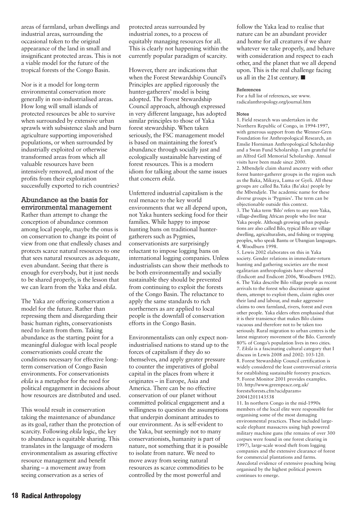areas of farmland, urban dwellings and industrial areas, surrounding the occasional token to the original appearance of the land in small and insignificant protected areas. This is not a viable model for the future of the tropical forests of the Congo Basin.

Nor is it a model for long-term environmental conservation more generally in non-industrialised areas. How long will small islands of protected resources be able to survive when surrounded by extensive urban sprawls with subsistence slash and burn agriculture supporting impoverished populations, or when surrounded by industrially exploited or otherwise transformed areas from which all valuable resources have been intensively removed, and most of the profits from their exploitation successfully exported to rich countries?

#### Abundance as the basis for environmental management

Rather than attempt to change the conception of abundance common among local people, maybe the onus is on conservation to change its point of view from one that endlessly chases and protects scarce natural resources to one that sees natural resources as adequate, even abundant. Seeing that there is enough for everybody, but it just needs to be shared properly, is the lesson that we can learn from the Yaka and *ekila*.

The Yaka are offering conservation a model for the future. Rather than repressing them and disregarding their basic human rights, conservationists need to learn from them. Taking abundance as the starting point for a meaningful dialogue with local people conservationists could create the conditions necessary for effective longterm conservation of Congo Basin environments. For conservationists *ekila* is a metaphor for the need for political engagement in decisions about how resources are distributed and used.

This would result in conservation taking the maintenance of abundance as its goal, rather than the protection of scarcity. Following *ekila* logic, the key to abundance is equitable sharing. This translates in the language of modern environmentalism as assuring effective resource management and benefit sharing – a movement away from seeing conservation as a series of

protected areas surrounded by industrial zones, to a process of equitably managing resources for all. This is clearly not happening within the currently popular paradigm of scarcity.

However, there are indications that when the Forest Stewardship Council's Principles are applied rigorously the hunter-gatherers' model is being adopted. The Forest Stewardship Council approach, although expressed in very different language, has adopted similar principles to those of Yaka forest stewardship. When taken seriously, the FSC management model is based on maintaining the forest's abundance through socially just and ecologically sustainable harvesting of forest resources. This is a modern idiom for talking about the same issues that concern *ekila*.

Unfettered industrial capitalism is the real menace to the key world environments that we all depend upon, not Yaka hunters seeking food for their families. While happy to impose hunting bans on traditional huntergatherers such as Pygmies, conservationists are surprisingly reluctant to impose logging bans on international logging companies. Unless industrialists can show their methods to be both environmentally and socially sustainable they should be prevented from continuing to exploit the forests of the Congo Basin. The reluctance to apply the same standards to rich northerners as are applied to local people is the downfall of conservation efforts in the Congo Basin.

Environmentalists can only expect nonindustrialised nations to stand up to the forces of capitalism if they do so themselves, and apply greater pressure to counter the imperatives of global capital in the places from where it originates – in Europe, Asia and America. There can be no effective conservation of our planet without committed political engagement and a willingness to question the assumptions that underpin dominant attitudes to our environment. As is self-evident to the Yaka, but seemingly not to many conservationists, humanity is part of nature, not something that it is possible to isolate from nature. We need to move away from seeing natural resources as scarce commodities to be controlled by the most powerful and

follow the Yaka lead to realise that nature can be an abundant provider and home for all creatures if we share whatever we take properly, and behave with consideration and respect to each other, and the planet that we all depend upon. This is the real challenge facing us all in the 21st century. ■

#### References

For a full list of references, see www. radicalanthropology.org/journal.htm

#### Notes

1. Field research was undertaken in the Northern Republic of Congo, in 1994-1997, with generous support from the Wenner-Gren Foundation for Anthropological Research, an Emslie Horniman Anthropological Scholarship and a Swan Fund Scholarship. I am grateful for an Alfred Gell Memorial Scholarship. Annual visits have been made since 2000.

2. Mbendjele claim shared ancestry with other forest hunter-gatherer groups in the region such as the Baka, Mikaya, Luma or Gyeli. All these groups are called Ba.Yaka (Ba'aka) people by the Mbendjele. The academic name for these diverse groups is 'Pygmies'. The term can be objectionable outside this context.

3. The Yaka term 'Bilo' refers to any non-Yaka, village-dwelling African people who live near Yaka people. Although growing urban populations are also called Bilo, typical Bilo are village dwelling, agriculturalists, and fishing or trapping peoples, who speak Bantu or Ubangian languages. 4. Woodburn 1998.

5. Lewis 2002 elaborates on this in Yaka society. Gender relations in immediate-return hunting and gathering societies are the most egalitarian anthropologists have observed (Endicott and Endicott 2006, Woodburn 1982). 6. The Yaka describe Bilo village people as recent arrivals to the forest who discriminate against them, attempt to exploit them, claim rights over their land and labour, and make aggressive claims to own farmland, rivers, forest and even other people. Yaka elders often emphasised that it is their transience that makes Bilo claims vacuous and therefore not to be taken too seriously. Rural migration to urban centres is the latest migratory movement of the Bilo. Currently 80% of Congo's population lives in two cities. 7. *Ekila* is a fascinating cultural category that I discuss in Lewis 2008 and 2002: 103-120. 8. Forest Stewardship Council certification is widely considered the least controversial criteria for establishing sustainable forestry practices. 9. Forest Monitor 2001 provides examples. 10. http://www.greenpeace.org.uk/ forests/forests.cfm?ucidparam= 20041201143538

11. In northern Congo in the mid-1990s members of the local elite were responsible for organising some of the most damaging environmental practices. These included largescale elephant massacres using high powered military machine guns (the remains of over 300 corpses were found in one forest clearing in 1997), large-scale wood theft from logging companies and the extensive clearance of forest for commercial plantations and farms. Anecdotal evidence of extensive poaching being organised by the highest political powers continues to emerge.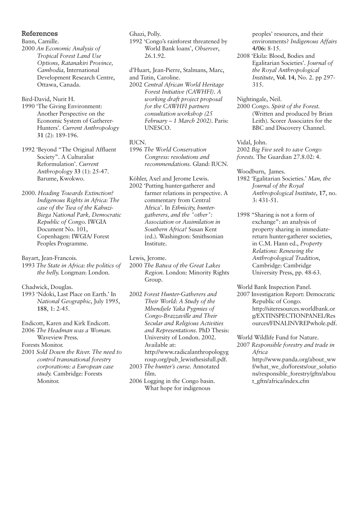#### References

Bann, Camille.

2000 *An Economic Analysis of Tropical Forest Land Use Options, Ratanakiri Province, Cambodia,* International Development Research Centre, Ottawa, Canada.

Bird-David, Nurit H.

- 1990 'The Giving Environment: Another Perspective on the Economic System of Gatherer-Hunters'. *Current Anthropology* **31** (2): 189-196.
- 1992 'Beyond "The Original Affluent Society". A Culturalist Reformulation'. *Current Anthropology* **33** (1): 25-47. Barume, Kwokwo.
- 2000. *Heading Towards Extinction? Indigenous Rights in Africa: The case of the Twa of the Kahuzi-Biega National Park, Democratic Republic of Congo.* IWGIA Document No. 101, Copenhagen: IWGIA/ Forest Peoples Programme.

Bayart, Jean-Francois.

1993 *The State in Africa: the politics of the belly.* Longman: London.

Chadwick, Douglas.

1993 'Ndoki, Last Place on Earth.' In *National Geographic*, July 1995, **188**, 1: 2-45.

Endicott, Karen and Kirk Endicott.

2006 *The Headman was a Woman.* Waveview Press.

Forests Monitor.

2001 *Sold Down the River. The need to control transnational forestry corporations: a European case study.* Cambridge: Forests Monitor.

Ghazi, Polly.

1992 'Congo's rainforest threatened by World Bank loans', *Observer*, 26.1.92.

d'Huart, Jean-Pierre, Stalmans, Marc, and Tutin, Caroline.

2002 *Central African World Heritage Forest Initiative (CAWHFI). A working draft project proposal for the CAWHFI partners consultation workshop (25 February – 1 March 2002).* Paris: UNESCO.

#### IUCN.

- 1996 *The World Conservation Congress: resolutions and recommendations.* Gland: IUCN.
- Köhler, Axel and Jerome Lewis. 2002 'Putting hunter-gatherer and farmer relations in perspective. A commentary from Central Africa'. In *Ethnicity, huntergatherers, and the "other": Association or Assimilation in Southern Africa?* Susan Kent (ed.). Washington: Smithsonian Institute.

Lewis, Jerome.

- 2000 *The Batwa of the Great Lakes Region.* London: Minority Rights Group.
- 2002 *Forest Hunter-Gatherers and Their World: A Study of the Mbendjele Yaka Pygmies of Congo-Brazzaville and Their Secular and Religious Activities and Representations.* PhD Thesis: University of London. 2002. Available at: http://www.radicalanthropologyg roup.org/pub\_lewisthesisfull.pdf.
- 2003 *The hunter's curse.* Annotated film.
- 2006 Logging in the Congo basin. What hope for indigenous

peoples' resources, and their environments? *Indigenous Affairs* **4/06:** 8-15.

2008 'Ekila: Blood, Bodies and Egalitarian Societies'. *Journal of the Royal Anthropological Institute*, **Vol. 14,** No. 2. pp 297- 315.

Nightingale, Neil.

2000 *Congo. Spirit of the Forest.* (Written and produced by Brian Leith). Scorer Associates for the BBC and Discovery Channel.

#### Vidal, John.

2002 *Big Five seek to save Congo forests.* The Guardian 27.8.02: 4.

Woodburn, James.

- 1982 'Egalitarian Societies.' *Man, the Journal of the Royal Anthropological Institute*, **17**, no. 3: 431-51.
- 1998 "Sharing is not a form of exchange": an analysis of property sharing in immediatereturn hunter-gatherer societies, in C.M. Hann ed., *Property Relations: Renewing the Anthropological Tradition*, Cambridge: Cambridge University Press, pp. 48-63.

World Bank Inspection Panel.

2007 Investigation Report: Democratic Republic of Congo. http://siteresources.worldbank.or g/EXTINSPECTIONPANEL/Res ources/FINALINVREPwhole.pdf.

World Wildlife Fund for Nature. 2007 *Responsible forestry and trade in Africa* http://www.panda.org/about\_ww f/what\_we\_do/forests/our\_solutio ns/responsible\_forestry/gftn/abou

t\_gftn/africa/index.cfm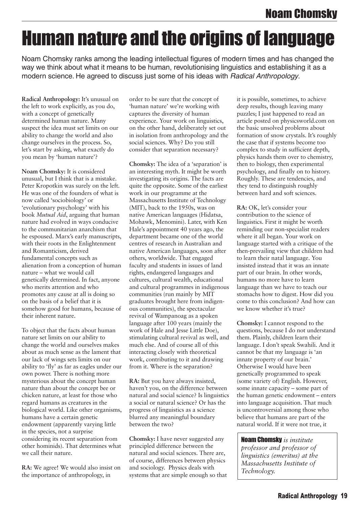# Human nature and the origins of language

Noam Chomsky ranks among the leading intellectual figures of modern times and has changed the way we think about what it means to be human, revolutionising linguistics and establishing it as a modern science. He agreed to discuss just some of his ideas with Radical Anthropology.

**Radical Anthropology:** It's unusual on the left to work explicitly, as you do, with a concept of genetically determined human nature. Many suspect the idea must set limits on our ability to change the world and also change ourselves in the process. So, let's start by asking, what exactly do you mean by 'human nature'?

**Noam Chomsky:** It is considered unusual, but I think that is a mistake. Peter Kropotkin was surely on the left. He was one of the founders of what is now called 'sociobiology' or 'evolutionary psychology' with his book *Mutual Aid*, arguing that human nature had evolved in ways conducive to the communitarian anarchism that he espoused. Marx's early manuscripts, with their roots in the Enlightenment and Romanticism, derived fundamental concepts such as alienation from a conception of human nature – what we would call genetically determined. In fact, anyone who merits attention and who promotes any cause at all is doing so on the basis of a belief that it is somehow good for humans, because of their inherent nature.

To object that the facts about human nature set limits on our ability to change the world and ourselves makes about as much sense as the lament that our lack of wings sets limits on our ability to 'fly' as far as eagles under our own power. There is nothing more mysterious about the concept human nature than about the concept bee or chicken nature, at least for those who regard humans as creatures in the biological world. Like other organisms, humans have a certain genetic endowment (apparently varying little in the species, not a surprise considering its recent separation from other hominids). That determines what we call their nature.

**RA:** We agree! We would also insist on the importance of anthropology, in

order to be sure that the concept of 'human nature' we're working with captures the diversity of human experience. Your work on linguistics, on the other hand, deliberately set out in isolation from anthropology and the social sciences. Why? Do you still consider that separation necessary?

**Chomsky:** The idea of a 'separation' is an interesting myth. It might be worth investigating its origins. The facts are quite the opposite. Some of the earliest work in our programme at the Massachusetts Institute of Technology (MIT), back to the 1950s, was on native American languages (Hidatsa, Mohawk, Menomini). Later, with Ken Hale's appointment 40 years ago, the department became one of the world centres of research in Australian and native American languages, soon after others, worldwide. That engaged faculty and students in issues of land rights, endangered languages and cultures, cultural wealth, educational and cultural programmes in indigenous communities (run mainly by MIT graduates brought here from indigenous communities), the spectacular revival of Wampanoag as a spoken language after 100 years (mainly the work of Hale and Jesse Little Doe), stimulating cultural revival as well, and much else. And of course all of this interacting closely with theoretical work, contributing to it and drawing from it. Where is the separation?

**RA:** But you have always insisted, haven't you, on the difference between natural and social science? Is linguistics a social or natural science? Or has the progress of linguistics as a science blurred any meaningful boundary between the two?

**Chomsky:** I have never suggested any principled difference between the natural and social sciences. There are, of course, differences between physics and sociology. Physics deals with systems that are simple enough so that it is possible, sometimes, to achieve deep results, though leaving many puzzles; I just happened to read an article posted on physicsworld.com on the basic unsolved problems about formation of snow crystals. It's roughly the case that if systems become too complex to study in sufficient depth, physics hands them over to chemistry, then to biology, then experimental psychology, and finally on to history. Roughly. These are tendencies, and they tend to distinguish roughly between hard and soft sciences.

**RA:** OK, let's consider your contribution to the science of linguistics. First it might be worth reminding our non-specialist readers where it all began. Your work on language started with a critique of the then-prevailing view that children had to learn their natal language. You insisted instead that it was an innate part of our brain. In other words, humans no more have to learn language than we have to teach our stomachs how to digest. How did you come to this conclusion? And how can we know whether it's true?

**Chomsky:** I cannot respond to the questions, because I do not understand them. Plainly, children learn their language. I don't speak Swahili. And it cannot be that my language is 'an innate property of our brain.' Otherwise I would have been genetically programmed to speak (some variety of) English. However, some innate capacity – some part of the human genetic endowment – enters into language acquisition. That much is uncontroversial among those who believe that humans are part of the natural world. If it were not true, it

Noam Chomsky *is institute professor and professor of linguistics (emeritus) at the Massachusetts Institute of Technology.*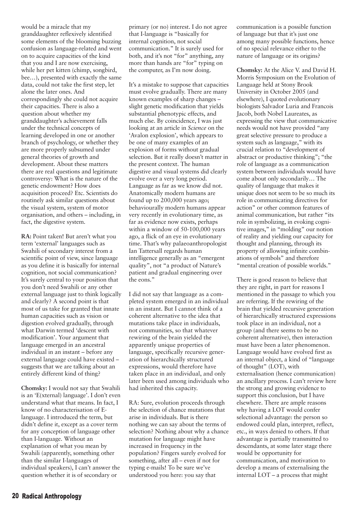would be a miracle that my granddaughter reflexively identified some elements of the blooming buzzing confusion as language-related and went on to acquire capacities of the kind that you and I are now exercising, while her pet kitten (chimp, songbird, bee…), presented with exactly the same data, could not take the first step, let alone the later ones. And correspondingly she could not acquire their capacities. There is also a question about whether my granddaughter's achievement falls under the technical concepts of learning developed in one or another branch of psychology, or whether they are more properly subsumed under general theories of growth and development. About these matters there are real questions and legitimate controversy: What is the nature of the genetic endowment? How does acquisition proceed? Etc. Scientists do routinely ask similar questions about the visual system, system of motor organisation, and others – including, in fact, the digestive system.

**RA:** Point taken! But aren't what you term 'external' languages such as Swahili of secondary interest from a scientific point of view, since language as you define it is basically for internal cognition, not social communication? It's surely central to your position that you don't need Swahili or any other external language just to think logically and clearly? A second point is that most of us take for granted that innate human capacities such as vision or digestion evolved gradually, through what Darwin termed 'descent with modification'. Your argument that language emerged in an ancestral individual in an instant – before any external language could have existed – suggests that we are talking about an entirely different kind of thing?

**Chomsky:** I would not say that Swahili is an 'E(xternal) language'. I don't even understand what that means. In fact, I know of no characterisation of Elanguage. I introduced the term, but didn't define it, except as a cover term for any conception of language other than I-language. Without an explanation of what you mean by Swahili (apparently, something other than the similar I-languages of individual speakers), I can't answer the question whether it is of secondary or

primary (or no) interest. I do not agree that I-language is "basically for internal cognition, not social communication." It is surely used for both, and it's not "for" anything, any more than hands are "for" typing on the computer, as I'm now doing.

It's a mistake to suppose that capacities must evolve gradually. There are many known examples of sharp changes – slight genetic modification that yields substantial phenotypic effects, and much else. By coincidence, I was just looking at an article in *Science* on the 'Avalon explosion', which appears to be one of many examples of an explosion of forms without gradual selection. But it really doesn't matter in the present context. The human digestive and visual systems did clearly evolve over a very long period. Language as far as we know did not. Anatomically modern humans are found up to 200,000 years ago; behaviourally modern humans appear very recently in evolutionary time, as far as evidence now exists, perhaps within a window of 50-100,000 years ago, a flick of an eye in evolutionary time. That's why palaeoanthropologist Ian Tattersall regards human intelligence generally as an "emergent quality", not "a product of Nature's patient and gradual engineering over the eons."

I did not say that language as a completed system emerged in an individual in an instant. But I cannot think of a coherent alternative to the idea that mutations take place in individuals, not communities, so that whatever rewiring of the brain yielded the apparently unique properties of language, specifically recursive generation of hierarchically structured expressions, would therefore have taken place in an individual, and only later been used among individuals who had inherited this capacity.

RA: Sure, evolution proceeds through the selection of chance mutations that arise in individuals. But is there nothing we can say about the terms of selection? Nothing about why a chance mutation for language might have increased in frequency in the population? Fingers surely evolved for something, after all – even if not for typing e-mails! To be sure we've understood you here: you say that

communication is a possible function of language but that it's just one among many possible functions, hence of no special relevance either to the nature of language or its origins?

**Chomsky:** At the Alice V. and David H. Morris Symposium on the Evolution of Language held at Stony Brook University in October 2005 (and elsewhere), I quoted evolutionary biologists Salvador Luria and Francois Jacob, both Nobel Laureates, as expressing the view that communicative needs would not have provided "any great selective pressure to produce a system such as language," with its crucial relation to "development of abstract or productive thinking"; "the role of language as a communication system between individuals would have come about only secondarily… The quality of language that makes it unique does not seem to be so much its role in communicating directives for action" or other common features of animal communication, but rather "its role in symbolizing, in evoking cognitive images," in "molding" our notion of reality and yielding our capacity for thought and planning, through its property of allowing infinite combinations of symbols" and therefore "mental creation of possible worlds."

There is good reason to believe that they are right, in part for reasons I mentioned in the passage to which you are referring. If the rewiring of the brain that yielded recursive generation of hierarchically structured expressions took place in an individual, not a group (and there seems to be no coherent alternative), then interaction must have been a later phenomenon. Language would have evolved first as an internal object, a kind of "language of thought" (LOT), with externalisation (hence communication) an ancillary process. I can't review here the strong and growing evidence to support this conclusion, but I have elsewhere. There are ample reasons why having a LOT would confer selectional advantage: the person so endowed could plan, interpret, reflect, etc., in ways denied to others. If that advantage is partially transmitted to descendants, at some later stage there would be opportunity for communication, and motivation to develop a means of externalising the internal LOT – a process that might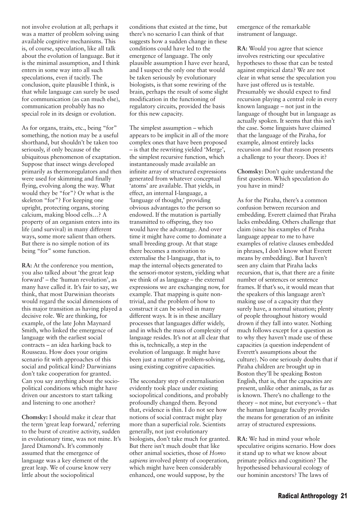not involve evolution at all; perhaps it was a matter of problem solving using available cognitive mechanisms. This is, of course, speculation, like all talk about the evolution of language. But it is the minimal assumption, and I think enters in some way into all such speculations, even if tacitly. The conclusion, quite plausible I think, is that while language can surely be used for communication (as can much else), communication probably has no special role in its design or evolution.

As for organs, traits, etc., being "for" something, the notion may be a useful shorthand, but shouldn't be taken too seriously, if only because of the ubiquitous phenomenon of exaptation. Suppose that insect wings developed primarily as thermoregulators and then were used for skimming and finally flying, evolving along the way. What would they be "for"? Or what is the skeleton "for"? For keeping one upright, protecting organs, storing calcium, making blood cells…? A property of an organism enters into its life (and survival) in many different ways, some more salient than others. But there is no simple notion of its being "for" some function.

**RA:** At the conference you mention, you also talked about 'the great leap forward' – the 'human revolution', as many have called it. It's fair to say, we think, that most Darwinian theorists would regard the social dimensions of this major transition as having played a decisive role. We are thinking, for example, of the late John Maynard Smith, who linked the emergence of language with the earliest social contracts – an idea harking back to Rousseau. How does your origins scenario fit with approaches of this social and political kind? Darwinians don't take cooperation for granted. Can you say anything about the sociopolitical conditions which might have driven our ancestors to start talking and listening to one another?

**Chomsky:** I should make it clear that the term 'great leap forward,' referring to the burst of creative activity, sudden in evolutionary time, was not mine. It's Jared Diamond's. It's commonly assumed that the emergence of language was a key element of the great leap. We of course know very little about the sociopolitical

conditions that existed at the time, but there's no scenario I can think of that suggests how a sudden change in these conditions could have led to the emergence of language. The only plausible assumption I have ever heard, and I suspect the only one that would be taken seriously by evolutionary biologists, is that some rewiring of the brain, perhaps the result of some slight modification in the functioning of regulatory circuits, provided the basis for this new capacity.

The simplest assumption – which appears to be implicit in all of the more complex ones that have been proposed – is that the rewriting yielded 'Merge', the simplest recursive function, which instantaneously made available an infinite array of structured expressions generated from whatever conceptual 'atoms' are available. That yields, in effect, an internal I-language, a 'language of thought,' providing obvious advantages to the person so endowed. If the mutation is partially transmitted to offspring, they too would have the advantage. And over time it might have come to dominate a small breeding group. At that stage there becomes a motivation to externalise the I-language, that is, to map the internal objects generated to the sensori-motor system, yielding what we think of as language – the external expressions we are exchanging now, for example. That mapping is quite nontrivial, and the problem of how to construct it can be solved in many different ways. It is in these ancillary processes that languages differ widely, and in which the mass of complexity of language resides. It's not at all clear that this is, technically, a step in the evolution of language. It might have been just a matter of problem-solving, using existing cognitive capacities.

The secondary step of externalisation evidently took place under existing sociopolitical conditions, and probably profoundly changed them. Beyond that, evidence is thin. I do not see how notions of social contract might play more than a superficial role. Scientists generally, not just evolutionary biologists, don't take much for granted. But there isn't much doubt that like other animal societies, those of *Homo sapiens* involved plenty of cooperation, which might have been considerably enhanced, one would suppose, by the

emergence of the remarkable instrument of language.

**RA:** Would you agree that science involves restricting our speculative hypotheses to those that can be tested against empirical data? We are not clear in what sense the speculation you have just offered us is testable. Presumably we should expect to find recursion playing a central role in every known language – not just in the language of thought but in language as actually spoken. It seems that this isn't the case. Some linguists have claimed that the language of the Piraha, for example, almost entirely lacks recursion and for that reason presents a challenge to your theory. Does it?

**Chomsky:** Don't quite understand the first question. Which speculation do you have in mind?

As for the Piraha, there's a common confusion between recursion and embedding. Everett claimed that Piraha lacks embedding. Others challenge that claim (since his examples of Piraha language appear to me to have examples of relative clauses embedded in phrases, I don't know what Everett means by embedding). But I haven't seen any claim that Piraha lacks recursion, that is, that there are a finite number of sentences or sentence frames. If that's so, it would mean that the speakers of this language aren't making use of a capacity that they surely have, a normal situation; plenty of people throughout history would drown if they fall into water. Nothing much follows except for a question as to why they haven't made use of these capacities (a question independent of Everett's assumptions about the culture). No one seriously doubts that if Piraha children are brought up in Boston they'll be speaking Boston English, that is, that the capacities are present, unlike other animals, as far as is known. There's no challenge to the theory – not mine, but everyone's – that the human language faculty provides the means for generation of an infinite array of structured expressions.

**RA:** We had in mind your whole speculative origins scenario. How does it stand up to what we know about primate politics and cognition? The hypothesised behavioural ecology of our hominin ancestors? The laws of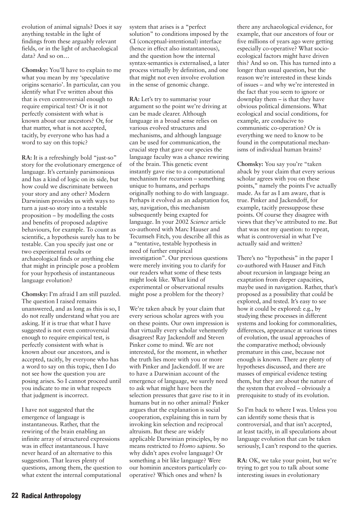evolution of animal signals? Does it say anything testable in the light of findings from these arguably relevant fields, or in the light of archaeological data? And so on…

**Chomsky:** You'll have to explain to me what you mean by my 'speculative origins scenario'. In particular, can you identify what I've written about this that is even controversial enough to require empirical test? Or is it not perfectly consistent with what is known about our ancestors? Or, for that matter, what is not accepted, tacitly, by everyone who has had a word to say on this topic?

**RA:** It is a refreshingly bold "just-so" story for the evolutionary emergence of language. It's certainly parsimonious and has a kind of logic on its side, but how could we discriminate between your story and any other? Modern Darwinism provides us with ways to turn a just-so story into a testable proposition – by modelling the costs and benefits of proposed adaptive behaviours, for example. To count as scientific, a hypothesis surely has to be testable. Can you specify just one or two experimental results or archaeological finds or anything else that might in principle pose a problem for your hypothesis of instantaneous language evolution?

**Chomsky:** I'm afraid I am still puzzled. The question I raised remains unanswered, and as long as this is so, I do not really understand what you are asking. If it is true that what I have suggested is not even controversial enough to require empirical test, is perfectly consistent with what is known about our ancestors, and is accepted, tacitly, by everyone who has a word to say on this topic, then I do not see how the question you are posing arises. So I cannot proceed until you indicate to me in what respects that judgment is incorrect.

I have not suggested that the emergence of language is instantaneous. Rather, that the rewiring of the brain enabling an infinite array of structured expressions was in effect instantaneous. I have never heard of an alternative to this suggestion. That leaves plenty of questions, among them, the question to what extent the internal computational

system that arises is a "perfect solution" to conditions imposed by the CI (conceptual-intentional) interface (hence in effect also instantaneous), and the question how the internal syntax-semantics is externalised, a later process virtually by definition, and one that might not even involve evolution in the sense of genomic change.

**RA:** Let's try to summarise your argument so the point we're driving at can be made clearer. Although language in a broad sense relies on various evolved structures and mechanisms, and although language can be used for communication, the crucial step that gave our species the language faculty was a chance rewiring of the brain. This genetic event instantly gave rise to a computational mechanism for recursion – something unique to humans, and perhaps originally nothing to do with language. Perhaps it evolved as an adaptation for, say, navigation, this mechanism subsequently being exapted for language. In your 2002 *Science* article co-authored with Marc Hauser and Tecumseh Fitch, you describe all this as a "tentative, testable hypothesis in need of further empirical investigation". Our previous questions were merely inviting you to clarify for our readers what some of these tests might look like. What kind of experimental or observational results might pose a problem for the theory?

We're taken aback by your claim that every serious scholar agrees with you on these points. Our own impression is that virtually every scholar vehemently disagrees! Ray Jackendoff and Steven Pinker come to mind. We are not interested, for the moment, in whether the truth lies more with you or more with Pinker and Jackendoff. If we are to have a Darwinian account of the emergence of language, we surely need to ask what might have been the selection pressures that gave rise to it in humans but in no other animal? Pinker argues that the explanation is social cooperation, explaining this in turn by invoking kin selection and reciprocal altruism. But these are widely applicable Darwinian principles, by no means restricted to *Homo sapiens*. So why didn't apes evolve language? Or something a bit like language? Were our hominin ancestors particularly cooperative? Which ones and when? Is

there any archaeological evidence, for example, that our ancestors of four or five millions of years ago were getting especially co-operative? What socioecological factors might have driven this? And so on. This has turned into a longer than usual question, but the reason we're interested in these kinds of issues – and why we're interested in the fact that you seem to ignore or downplay them – is that they have obvious political dimensions. What ecological and social conditions, for example, are conducive to communistic co-operation? Or is everything we need to know to be found in the computational mechanisms of individual human brains?

**Chomsky:** You say you're "taken aback by your claim that every serious scholar agrees with you on these points," namely the points I've actually made. As far as I am aware, that is true. Pinker and Jackendoff, for example, tacitly pressuppose these points. Of course they disagree with views that they've attributed to me. But that was not my question: to repeat, what is controversial in what I've actually said and written?

There's no "hypothesis" in the paper I co-authored with Hauser and Fitch about recursion in language being an exaptation from deeper capacities, maybe used in navigation. Rather, that's proposed as a possibility that could be explored, and tested. It's easy to see how it could be explored: e.g., by studying these processes in different systems and looking for commonalities, differences, appearance at various times of evolution, the usual approaches of the comparative method; obviously premature in this case, because not enough is known. There are plenty of hypotheses discussed, and there are masses of empirical evidence testing them, but they are about the nature of the system that evolved – obviously a prerequisite to study of its evolution.

So I'm back to where I was. Unless you can identify some thesis that is controversial, and that isn't accepted, at least tacitly, in all speculations about language evolution that can be taken seriously, I can't respond to the queries.

**RA:** OK, we take your point, but we're trying to get you to talk about some interesting issues in evolutionary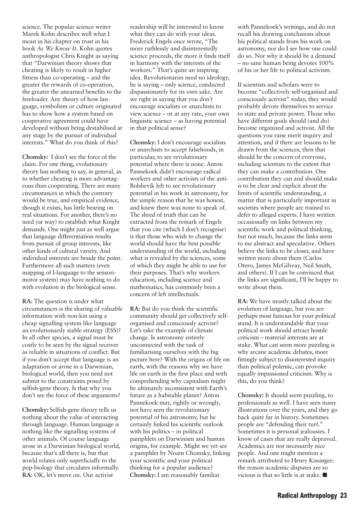science. The popular science writer Marek Kohn describes well what I mean in his chapter on trust in his book *As We Know It*. Kohn quotes anthropologist Chris Knight as saying that "Darwinian theory shows that cheating is likely to result in higher fitness than co-operating – and the greater the rewards of co-operation, the greater the unearned benefits to the freeloader. Any theory of how language, symbolism or culture originated has to show how a system based on cooperative agreement could have developed without being destabilised at any stage by the pursuit of individual interests." What do you think of this?

**Chomsky:** I don't see the force of the claim. For one thing, evolutionary theory has nothing to say, in general, as to whether cheating is more advantageous than cooperating. There are many circumstances in which the contrary would be true, and empirical evidence, though it exists, has little bearing on real situations. For another, there's no need (or way) to establish what Knight demands. One might just as well argue that language differentiation results from pursuit of group interests, like other kinds of cultural variety. And individual interests are beside the point. Furthermore all such matters (even mapping of I-language to the sensorimotor system) may have nothing to do with evolution in the biological sense.

**RA:** The question is under what circumstances is the sharing of valuable information with non-kin using a cheap signalling system like language an evolutionarily stable strategy (ESS)? In all other species, a signal must be costly to be seen by the signal receiver as reliable in situations of conflict. But if you don't accept that language is an adaptation or arose in a Darwinian, biological world, then you need not submit to the constraints posed by selfish-gene theory. Is that why you don't see the force of these arguments?

**Chomsky:** Selfish-gene theory tells us nothing about the value of interacting through language. Human language is nothing like the signalling systems of other animals. Of course language arose in a Darwinian biological world, because that's all there is, but that world relates only superficially to the pop-biology that circulates informally. **RA:** OK, let's move on. Our activist

readership will be interested to know what they can do with your ideas. Frederick Engels once wrote, "The more ruthlessly and disinterestedly science proceeds, the more it finds itself in harmony with the interests of the workers." That's quite an inspiring idea. Revolutionaries need no ideology, he is saying – only science, conducted dispassionately for its own sake. Are we right in saying that you don't encourage socialists or anarchists to view science – or at any rate, your own linguistic science – as having potential in that political sense?

**Chomsky:** I don't encourage socialists or anarchists to accept falsehoods, in particular, to see revolutionary potential where there is none. Anton Pannekoek didn't encourage radical workers and other activists of the anti-Bolshevik left to see revolutionary potential in his work in astronomy, for the simple reason that he was honest, and knew there was none to speak of. The shred of truth that can be extracted from the remark of Engels that you cite (which I don't recognise) is that those who wish to change the world should have the best possible understanding of the world, including what is revealed by the sciences, some of which they might be able to use for their purposes. That's why workers education, including science and mathematics, has commonly been a concern of left intellectuals.

**RA:** But do you think the scientific community should get collectively selforganised and consciously activist? Let's take the example of climate change. Is astronomy entirely unconnected with the task of familiarising ourselves with the big picture here? With the origins of life on earth, with the reasons why we have life on earth in the first place and with comprehending why capitalism might be ultimately inconsistent with Earth's future as a habitable planet? Anton Pannekoek may, rightly or wrongly, not have seen the revolutionary potential of his astronomy, but he certainly linked his scientific outlook with his politics – in political pamphlets on Darwinism and human origins, for example. Might we yet see a pamphlet by Noam Chomsky, linking your scientific and your political thinking for a popular audience? **Chomsky:** I am reasonably familiar

with Pannekoek's writings, and do not recall his drawing conclusions about his political stands from his work on astronomy, nor do I see how one could do so. Nor why it should be a demand – no sane human being devotes 100% of his or her life to political activism.

If scientists and scholars were to become "collectively self-organised and consciously activist" today, they would probably devote themselves to service to state and private power. Those who have different goals should (and do) become organized and activist. All the questions you raise merit inquiry and attention, and if there are lessons to be drawn from the sciences, then that should be the concern of everyone, including scientists to the extent that they can make a contribution. One contribution they can and should make is to be clear and explicit about the limits of scientific understanding, a matter that is particularly important in societies where people are trained to defer to alleged experts. I have written occasionally on links between my scientific work and political thinking, but not much, because the links seem to me abstract and speculative. Others believe the links to be closer, and have written more about them (Carlos Otero, James McGilvray, Neil Smith, and others). If I can be convinced that the links are significant, I'll be happy to write about them.

**RA:** We have mostly talked about the evolution of language, but you are perhaps most famous for your political stand. It is understandable that your political work should attract hostile criticism – material interests are at stake. What can seem more puzzling is why arcane academic debates, more fittingly subject to disinterested inquiry than political polemic, can provoke equally impassioned criticism. Why is this, do you think?

**Chomsky:** It should seem puzzling, to professionals as well. I have seen many illustrations over the years, and they go back quite far in history. Sometimes people are "defending their turf." Sometimes it is personal jealousies. I know of cases that are really depraved. Academics are not necessarily nice people. And one might mention a remark attributed to Henry Kissinger: the reason academic disputes are so vicious is that so little is at stake. ■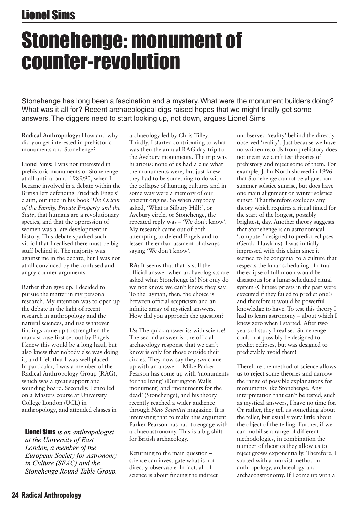## Lionel Sims

# Stonehenge: monument of counter-revolution

Stonehenge has long been a fascination and a mystery. What were the monument builders doing? What was it all for? Recent archaeological digs raised hopes that we might finally get some answers. The diggers need to start looking up, not down, argues Lionel Sims

**Radical Anthropology:** How and why did you get interested in prehistoric monuments and Stonehenge?

**Lionel Sims:** I was not interested in prehistoric monuments or Stonehenge at all until around 1989/90, when I became involved in a debate within the British left defending Friedrich Engels' claim, outlined in his book *The Origin of the Family, Private Property and the State*, that humans are a revolutionary species, and that the oppression of women was a late development in history. This debate sparked such vitriol that I realised there must be big stuff behind it. The majority was against me in the debate, but I was not at all convinced by the confused and angry counter-arguments.

Rather than give up, I decided to pursue the matter in my personal research. My intention was to open up the debate in the light of recent research in anthropology and the natural sciences, and use whatever findings came up to strengthen the marxist case first set out by Engels. I knew this would be a long haul, but also knew that nobody else was doing it, and I felt that I was well placed. In particular, I was a member of the Radical Anthropology Group (RAG), which was a great support and sounding board. Secondly, I enrolled on a Masters course at University College London (UCL) in anthropology, and attended classes in

Lionel Sims *is an anthropologist at the University of East London, a member of the European Society for Astronomy in Culture (SEAC) and the Stonehenge Round Table Group.*

archaeology led by Chris Tilley. Thirdly, I started contributing to what was then the annual RAG day-trip to the Avebury monuments. The trip was hilarious: none of us had a clue what the monuments were, but just knew they had to be something to do with the collapse of hunting cultures and in some way were a memory of our ancient origins. So when anybody asked, 'What is Silbury Hill?', or Avebury circle, or Stonehenge, the repeated reply was – 'We don't know'. My research came out of both attempting to defend Engels and to lessen the embarrassment of always saying 'We don't know'.

**RA:** It seems that that is still the official answer when archaeologists are asked what Stonehenge is! Not only do we not know, we can't know, they say. To the layman, then, the choice is between official scepticism and an infinite array of mystical answers. How did you approach the question?

**LS:** The quick answer is: with science! The second answer is: the official archaeology response that we can't know is only for those outside their circles. They now say they *can* come up with an answer – Mike Parker-Pearson has come up with 'monuments for the living' (Durrington Walls monument) and 'monuments for the dead' (Stonehenge), and his theory recently reached a wider audience through *New Scientist* magazine. It is interesting that to make this argument Parker-Pearson has had to engage with archaeoastronomy. This is a big shift for British archaeology.

Returning to the main question – science can investigate what is not directly observable. In fact, all of science is about finding the indirect

unobserved 'reality' behind the directly observed 'reality'. Just because we have no written records from prehistory does not mean we can't test theories of prehistory and reject some of them. For example, John North showed in 1996 that Stonehenge cannot be aligned on summer solstice sunrise, but does have one main alignment on winter solstice sunset. That therefore excludes any theory which requires a ritual timed for the start of the longest, possibly brightest, day. Another theory suggests that Stonehenge is an astronomical 'computer' designed to predict eclipses (Gerald Hawkins). I was initially impressed with this claim since it seemed to be congenial to a culture that respects the lunar scheduling of ritual – the eclipse of full moon would be disastrous for a lunar-scheduled ritual system (Chinese priests in the past were executed if they failed to predict one!) and therefore it would be powerful knowledge to have. To test this theory I had to learn astronomy – about which I knew zero when I started. After two years of study I realised Stonehenge could not possibly be designed to predict eclipses, but was designed to predictably avoid them!

Therefore the method of science allows us to reject some theories and narrow the range of possible explanations for monuments like Stonehenge. Any interpretation that can't be tested, such as mystical answers, I have no time for. Or rather, they tell us something about the teller, but usually very little about the object of the telling. Further, if we can mobilise a range of different methodologies, in combination the number of theories they allow us to reject grows exponentially. Therefore, I started with a marxist method in anthropology, archaeology and archaeoastronomy. If I come up with a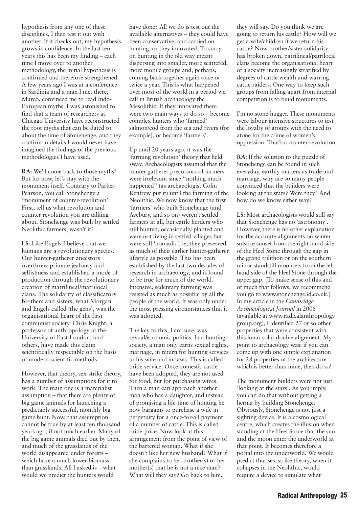hypothesis from any one of these disciplines, I then test it out with another. If it checks out, my hypothesis grows in confidence. In the last ten years this has been my finding – each time I move over to another methodology, the initial hypothesis is confirmed and therefore strengthened. A few years ago I was at a conference in Sardinia and a man I met there, Marco, convinced me to read Indo-European myths. I was astonished to find that a team of researchers at Chicago University have reconstructed the root myths that can be dated to about the time of Stonehenge, and they confirm in details I would never have imagined the findings of the previous methodologies I have used.

**RA:** We'll come back to those myths! But for now, let's stay with the monument itself. Contrary to Parker-Pearson, you call Stonehenge a 'monument of counter-revolution'. First, tell us what revolution and counter-revolution you are talking about. Stonehenge was built by settled Neolithic farmers, wasn't it?

**LS:** Like Engels I believe that we humans are a revolutionary species. Our hunter-gatherer ancestors overthrew primate jealousy and selfishness and established a mode of production through the revolutionary creation of matrilineal/matrilocal clans. The solidarity of classificatory brothers and sisters, what Morgan and Engels called 'the gens', was the organisational heart of the first communist society. Chris Knight, a professor of anthropology at the University of East London, and others, have made this claim scientifically respectable on the basis of modern scientific methods.

However, that theory, sex-strike theory, has a number of assumptions for it to work. The main one is a materialist assumption – that there are plenty of big game animals for launching a predictably successful, monthly big game hunt. Now, that assumption cannot be true by at least ten thousand years ago, if not much earlier. Many of the big game animals died out by then, and much of the grasslands of the world disappeared under forests – which have a much lower biomass than grasslands. All I asked is – what would we predict the hunters would

have done? All we do is test out the available alternatives – they could have been conservative, and carried on hunting, or they innovated. To carry on hunting in the old way meant dispersing into smaller, more scattered, more mobile groups and, perhaps, coming back together again once or twice a year. This is what happened over most of the world in a period we call in British archaeology the Mesolithic. If they innovated there were two main ways to do so – become complex hunters who 'farmed' salmon/cod from the sea and rivers (for example), or become 'farmers'.

Up until 20 years ago, it was the 'farming revolution' theory that held sway. Archaeologists assumed that the hunter-gatherer precursors of farmers were irrelevant since "nothing much happened" (as archaeologist Colin Renfrew put it) until the farming of the Neolithic. We now know that the first 'farmers' who built Stonehenge (and Avebury, and so on) weren't settled farmers at all, but cattle herders who still hunted, occasionally planted and were not living in settled villages but were still 'nomadic', ie, they preserved as much of their earlier hunter-gatherer lifestyle as possible. This has been established by the last two decades of research in archaeology, and is found to be true for much of the world. Intensive, sedentary farming was resisted as much as possible by all the people of the world. It was only under the most pressing circumstances that it was adopted.

The key to this, I am sure, was sexual/economic politics. In a hunting society, a man only earns sexual rights, marriage, in return for hunting services to his wife and in-laws. This is called bride-service. Once domestic cattle have been adopted, they are not used for food, but for purchasing wives. Then a man can approach another man who has a daughter, and instead of promising a life-time of hunting he now bargains to purchase a wife in perpetuity for a once-for-all payment of a number of cattle. This is called bride-price. Now look at this arrangement from the point of view of the bartered woman. What if she doesn't like her new husband? What if she complains to her brother(s) or her mother(s) that he is not a nice man? What will they say? Go back to him,

they will say. Do you think we are going to return his cattle? How will we get a wife/children if we return his cattle? Now brother/sister solidarity has broken down, patrilineal/patrilocal clans become the organisational heart of a society increasingly stratified by degrees of cattle wealth and warring cattle-raiders. One way to keep such groups from falling apart from internal competition is to build monuments.

I'm no stone-hugger. These monuments were labour-intensive structures to test the loyalty of groups with the need to atone for the crime of women's oppression. That's a counter-revolution.

**RA:** If the solution to the puzzle of Stonehenge can be found in such everyday, earthly matters as trade and marriage, why are so many people convinced that the builders were looking at the stars? Were they? And how do we know either way?

**LS:** Most archaeologists would still say that Stonehenge has no 'astronomy'. However, there is no other explanation for the accurate alignments on winter solstice sunset from the right hand side of the Heel Stone through the gap in the grand trilithon or on the southern minor standstill moonsets from the left hand side of the Heel Stone through the upper gap. (To make sense of this and of much that follows, we recommend you go to www.stonehenge3d.co.uk.) In my article in the *Cambridge Archaeological Journal* in 2006 (available at www.radicalanthropology group.org), I identified 27 or so other properties that were consistent with this lunar-solar double alignment. My point to archaeology was: if you can come up with one simple explanation for 28 properties of the architecture which is better than mine, then do so!

The monument builders were not just 'looking at the stars'. As you imply, you can do that without getting a hernia by building Stonehenge. Obviously, Stonehenge is not just a sighting device. It is a cosmological centre, which creates the illusion when standing at the Heel Stone that the sun and the moon enter the underworld at that point. It becomes therefore a portal into the underworld. We would predict that sex-strike theory, when it collapses in the Neolithic, would require a device to simulate what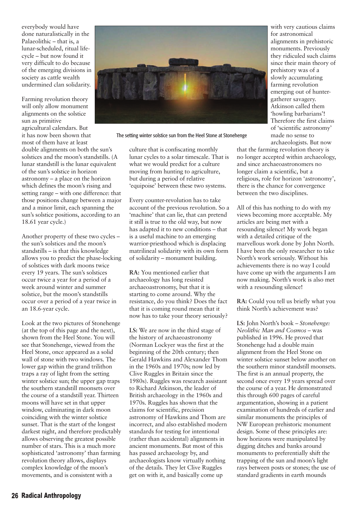everybody would have done naturalistically in the Palaeolithic – that is, a lunar-scheduled, ritual lifecycle – but now found it very difficult to do because of the emerging divisions in society as cattle wealth undermined clan solidarity.

Farming revolution theory will only allow monument alignments on the solstice sun as primitive agricultural calendars. But it has now been shown that most of them have at least double alignments on both the sun's solstices and the moon's standstills. (A lunar standstill is the lunar equivalent of the sun's solstice in horizon astronomy – a place on the horizon which defines the moon's rising and setting range – with one difference: that those positions change between a major and a minor limit, each spanning the sun's solstice positions, according to an 18.61 year cycle.)

Another property of these two cycles – the sun's solstices and the moon's standstills – is that this knowledge allows you to predict the phase-locking of solstices with dark moons twice every 19 years. The sun's solstices occur twice a year for a period of a week around winter and summer solstice, but the moon's standstills occur over a period of a year twice in an 18.6-year cycle.

Look at the two pictures of Stonehenge (at the top of this page and the next), shown from the Heel Stone. You will see that Stonehenge, viewed from the Heel Stone, once appeared as a solid wall of stone with two windows. The lower gap within the grand trilithon traps a ray of light from the setting winter solstice sun; the upper gap traps the southern standstill moonsets over the course of a standstill year. Thirteen moons will have set in that upper window, culminating in dark moon coinciding with the winter solstice sunset. That is the start of the longest darkest night, and therefore predictably allows observing the greatest possible number of stars. This is a much more sophisticated 'astronomy' than farming revolution theory allows, displays complex knowledge of the moon's movements, and is consistent with a



The setting winter solstice sun from the Heel Stone at Stonehenge

culture that is confiscating monthly lunar cycles to a solar timescale. That is what we would predict for a culture moving from hunting to agriculture, but during a period of relative 'equipoise' between these two systems.

Every counter-revolution has to take account of the previous revolution. So a 'machine' that can lie, that can pretend it still is true to the old way, but now has adapted it to new conditions – that is a useful machine to an emerging warrior-priesthood which is displacing matrilineal solidarity with its own form of solidarity – monument building.

**RA:** You mentioned earlier that archaeology has long resisted archaeoastronomy, but that it is starting to come around. Why the resistance, do you think? Does the fact that it is coming round mean that it now has to take your theory seriously?

**LS:** We are now in the third stage of the history of archaeoastronomy (Norman Lockyer was the first at the beginning of the 20th century; then Gerald Hawkins and Alexander Thom in the 1960s and 1970s; now led by Clive Ruggles in Britain since the 1980s). Ruggles was research assistant to Richard Atkinson, the leader of British archaeology in the 1960s and 1970s. Ruggles has shown that the claims for scientific, precision astronomy of Hawkins and Thom are incorrect, and also established modern standards for testing for intentional (rather than accidental) alignments in ancient monuments. But most of this has passed archaeology by, and archaeologists know virtually nothing of the details. They let Clive Ruggles get on with it, and basically come up

with very cautious claims for astronomical alignments in prehistoric monuments. Previously they ridiculed such claims since their main theory of prehistory was of a slowly accumulating farming revolution emerging out of huntergatherer savagery. Atkinson called them 'howling barbarians'! Therefore the first claims of 'scientific astronomy' made no sense to archaeologists. But now

that the farming revolution theory is no longer accepted within archaeology, and since archaeoastronomers no longer claim a scientific, but a religious, role for horizon 'astronomy', there is the chance for convergence between the two disciplines.

All of this has nothing to do with my views becoming more acceptable. My articles are being met with a resounding silence! My work began with a detailed critique of the marvellous work done by John North. I have been the only researcher to take North's work seriously. Without his achievements there is no way I could have come up with the arguments I am now making. North's work is also met with a resounding silence!

**RA:** Could you tell us briefly what you think North's achievement was?

**LS:** John North's book – *Stonehenge: Neolithic Man and Cosmos* – was published in 1996. He proved that Stonehenge had a double main alignment from the Heel Stone on winter solstice sunset below another on the southern minor standstill moonsets. The first is an annual property, the second once every 19 years spread over the course of a year. He demonstrated this through 600 pages of careful argumentation, showing in a patient examination of hundreds of earlier and similar monuments the principles of NW European prehistoric monument design. Some of these principles are: how horizons were manipulated by digging ditches and banks around monuments to preferentially shift the trapping of the sun and moon's light rays between posts or stones; the use of standard gradients in earth mounds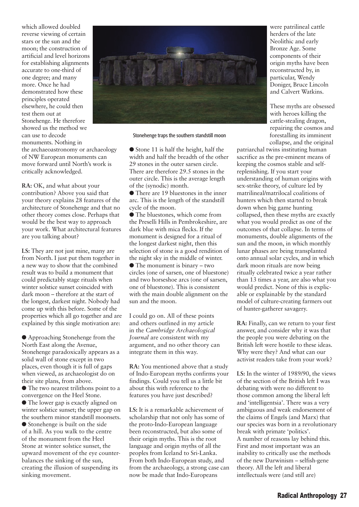which allowed doubled reverse viewing of certain stars or the sun and the moon; the construction of artificial and level horizons for establishing alignments accurate to one-third of one degree; and many more. Once he had demonstrated how these principles operated elsewhere, he could then test them out at Stonehenge. He therefore showed us the method we can use to decode monuments. Nothing in the archaeoastronomy or archaeology of NW European monuments can move forward until North's work is critically acknowledged.

**RA:** OK, and what about your contribution? Above you said that your theory explains 28 features of the architecture of Stonehenge and that no other theory comes close. Perhaps that would be the best way to approach your work. What architectural features are you talking about?

**LS:** They are not just mine, many are from North. I just put them together in a new way to show that the combined result was to build a monument that could predictably stage rituals when winter solstice sunset coincided with dark moon – therefore at the start of the longest, darkest night. Nobody had come up with this before. Some of the properties which all go together and are explained by this single motivation are:

● Approaching Stonehenge from the North East along the Avenue, Stonehenge paradoxically appears as a solid wall of stone except in two places, even though it is full of gaps when viewed, as archaeologist do on their site plans, from above.

● The two nearest trilithons point to a convergence on the Heel Stone.

● The lower gap is exactly aligned on winter solstice sunset; the upper gap on the southern minor standstill moonsets. ● Stonehenge is built on the side of a hill. As you walk to the centre of the monument from the Heel Stone at winter solstice sunset, the upward movement of the eye counterbalances the sinking of the sun, creating the illusion of suspending its sinking movement.



Stonehenge traps the southern standstill moon

● Stone 11 is half the height, half the width and half the breadth of the other 29 stones in the outer sarsen circle. There are therefore 29.5 stones in the outer circle. This is the average length of the (synodic) month.

● There are 19 bluestones in the inner arc. This is the length of the standstill cycle of the moon.

● The bluestones, which come from the Preselli Hills in Pembrokeshire, are dark blue with mica flecks. If the monument is designed for a ritual of the longest darkest night, then this selection of stone is a good rendition of the night sky in the middle of winter.  $\bullet$  The monument is binary – two circles (one of sarsen, one of bluestone) and two horseshoe arcs (one of sarsen, one of bluestone). This is consistent with the main double alignment on the sun and the moon.

I could go on. All of these points and others outlined in my article in the *Cambridge Archaeological Journal* are consistent with my argument, and no other theory can integrate them in this way.

**RA:** You mentioned above that a study of Indo-European myths confirms your findings. Could you tell us a little bit about this with reference to the features you have just described?

**LS:** It is a remarkable achievement of scholarship that not only has some of the proto-Indo-European language been reconstructed, but also some of their origin myths. This is the root language and origin myths of all the peoples from Iceland to Sri-Lanka. From both Indo-European study, and from the archaeology, a strong case can now be made that Indo-Europeans

were patrilineal cattle herders of the late Neolithic and early Bronze Age. Some components of their origin myths have been reconstructed by, in particular, Wendy Doniger, Bruce Lincoln and Calvert Watkins.

These myths are obsessed with heroes killing the cattle-stealing dragon, repairing the cosmos and forestalling its imminent collapse, and the original

patriarchal twins instituting human sacrifice as the pre-eminent means of keeping the cosmos stable and selfreplenishing. If you start your understanding of human origins with sex-strike theory, of culture led by matrilineal/matrilocal coalitions of hunters which then started to break down when big game hunting collapsed, then these myths are exactly what you would predict as one of the outcomes of that collapse. In terms of monuments, double alignments of the sun and the moon, in which monthly lunar phases are being transplanted onto annual solar cycles, and in which dark moon rituals are now being ritually celebrated twice a year rather than 13 times a year, are also what you would predict. None of this is explicable or explainable by the standard model of culture-creating farmers out of hunter-gatherer savagery.

**RA:** Finally, can we return to your first answer, and consider why it was that the people you were debating on the British left were hostile to these ideas. Why were they? And what can our activist readers take from your work?

**LS:** In the winter of 1989/90, the views of the section of the British left I was debating with were no different to those common among the liberal left and 'intelligentsia'. There was a very ambiguous and weak endorsement of the claims of Engels (and Marx) that our species was born in a revolutionary break with primate 'politics'. A number of reasons lay behind this. First and most important was an inability to critically use the methods of the new Darwinism – selfish-gene theory. All the left and liberal intellectuals were (and still are)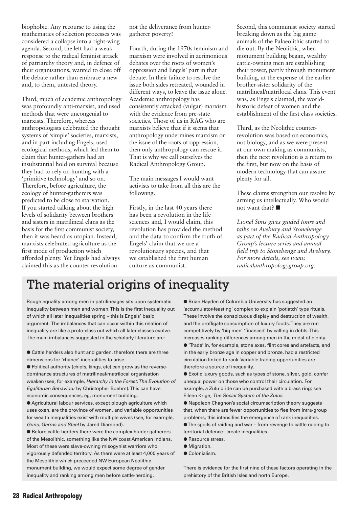biophobic. Any recourse to using the mathematics of selection processes was considered a collapse into a right-wing agenda. Second, the left had a weak response to the radical feminist attack of patriarchy theory and, in defence of their organisations, wanted to close off the debate rather than embrace a new and, to them, untested theory.

Third, much of academic anthropology was profoundly anti-marxist, and used methods that were uncongenial to marxists. Therefore, whereas anthropologists celebrated the thought systems of 'simple' societies, marxists, and in part including Engels, used ecological methods, which led them to claim that hunter-gathers had an insubstantial hold on survival because they had to rely on hunting with a 'primitive technology' and so on. Therefore, before agriculture, the ecology of hunter-gatherers was predicted to be close to starvation. If you started talking about the high levels of solidarity between brothers and sisters in matrilineal clans as the basis for the first communist society, then it was heard as utopian. Instead, marxists celebrated agriculture as the first mode of production which afforded plenty. Yet Engels had always claimed this as the counter-revolution – not the deliverance from huntergatherer poverty!

Fourth, during the 1970s feminism and marxism were involved in acrimonious debates over the roots of women's oppression and Engels' part in that debate. In their failure to resolve the issue both sides retreated, wounded in different ways, to leave the issue alone. Academic anthropology has consistently attacked (vulgar) marxism with the evidence from pre-state societies. Those of us in RAG who are marxists believe that if it seems that anthropology undermines marxism on the issue of the roots of oppression, then only anthropology can rescue it. That is why we call ourselves the Radical Anthropology Group.

The main messages I would want activists to take from all this are the following.

Firstly, in the last 40 years there has been a revolution in the life sciences and, I would claim, this revolution has provided the method and the data to confirm the truth of Engels' claim that we are a revolutionary species, and that we established the first human culture as communist.

Second, this communist society started breaking down as the big game animals of the Palaeolithic started to die out. By the Neolithic, when monument building began, wealthy cattle-owning men are establishing their power, partly through monument building, at the expense of the earlier brother-sister solidarity of the matrilineal/matrilocal clans. This event was, as Engels claimed, the worldhistoric defeat of women and the establishment of the first class societies.

Third, as the Neolithic counterrevolution was based on economics, not biology, and as we were present at our own making as communists, then the next revolution is a return to the first, but now on the basis of modern technology that can assure plenty for all.

These claims strengthen our resolve by arming us intellectually. Who would not want that? ■

*Lionel Sims gives guided tours and talks on Avebury and Stonehenge as part of the Radical Anthropology Group's lecture series and annual field trip to Stonehenge and Avebury. For more details, see www. radicalanthropologygroup.org.*

## The material origins of inequality

Rough equality among men in patrilineages sits upon systematic inequality between men and women.This is the first inequality out of which all later inequalities spring – this is Engels' basic argument. The imbalances that can occur within this relation of inequality are like a proto-class out which all later classes evolve. The main imbalances suggested in the scholarly literature are:

● Cattle herders also hunt and garden, therefore there are three dimensions for 'chance' inequalities to arise.

● Political authority (chiefs, kings, etc) can grow as the reversedominance structures of matrilineal/matrilocal organisation weaken (see, for example, *Hierarchy in the Forest:The Evolution of Egalitarian Behaviour* by Christopher Boehm).This can have economic consequences, eg, monument building.

● Agricultural labour services, except plough agriculture which uses oxen, are the province of women, and variable opportunities for wealth inequalities exist with multiple wives (see, for example, *Guns, Germs and Steel* by Jared Diamond).

● Before cattle-herders there were the complex hunter-gatherers of the Mesolithic, something like the NW coast American Indians. Most of these were slave-owning misogynist warriors who vigorously defended territory. As there were at least 4,000 years of the Mesolithic which preceeded NW European Neolithic monument building, we would expect some degree of gender inequality and ranking among men before cattle-herding.

● Brian Hayden of Columbia University has suggested an 'accumulator-feasting' complex to explain 'potlatch' type rituals. These involve the conspicuous display and destruction of wealth, and the profligate consumption of luxury foods.They are run competitively by 'big men' 'financed' by calling in debts.This increases ranking differences among men in the midst of plenty. ● 'Trade' in, for example, stone axes, flint cores and artefacts, and in the early bronze age in copper and bronze, had a restricted circulation linked to rank.Variable trading opportunities are therefore a source of inequality.

● Exotic luxury goods, such as types of stone, silver, gold, confer unequal power on those who control their circulation. For example, a Zulu bride can be purchased with a brass ring: see Eileen Krige, *The Social System of the Zulus*.

● Napoleon Chagnon's social circumscription theory suggests that, when there are fewer opportunities to flee from intra-group problems, this intensifies the emergence of rank inequalities.

● The spoils of raiding and war – from revenge to cattle raiding to territorial defence– create inequalities.

- Resource stress.
- Migration.
- Colonialism.

There is evidence for the first nine of these factors operating in the prehistory of the British Isles and north Europe.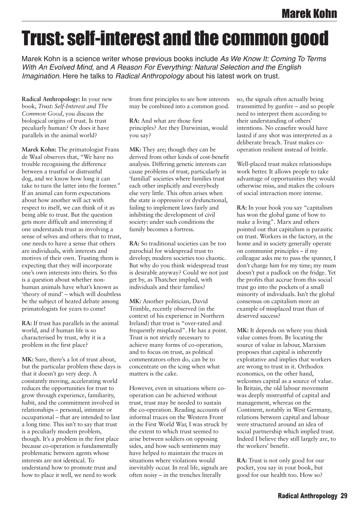## Trust: self-interest and the common good

Marek Kohn is a science writer whose previous books include As We Know It: Coming To Terms With An Evolved Mind, and A Reason For Everything: Natural Selection and the English Imagination. Here he talks to Radical Anthropology about his latest work on trust.

**Radical Anthropology:** In your new book, *Trust: Self-Interest and The Common Good*, you discuss the biological origins of trust. Is trust peculiarly human? Or does it have parallels in the animal world?

**Marek Kohn:** The primatologist Frans de Waal observes that, "We have no trouble recognising the difference between a trustful or distrustful dog, and we know how long it can take to turn the latter into the former." If an animal can form expectations about how another will act with respect to itself, we can think of it as being able to trust. But the question gets more difficult and interesting if one understands trust as involving a sense of selves and others: that to trust, one needs to have a sense that others are individuals, with interests and motives of their own. Trusting them is expecting that they will incorporate one's own interests into theirs. So this is a question about whether nonhuman animals have what's known as 'theory of mind' – which will doubtless be the subject of heated debate among primatologists for years to come!

**RA:** If trust has parallels in the animal world, and if human life is so characterised by trust, why it is a problem in the first place?

**MK:** Sure, there's a lot of trust about, but the particular problem these days is that it doesn't go very deep. A constantly moving, accelerating world reduces the opportunities for trust to grow through experience, familiarity, habit, and the commitment involved in relationships – personal, intimate or occupational – that are intended to last a long time. This isn't to say that trust is a peculiarly modern problem, though. It's a problem in the first place because co-operation is fundamentally problematic between agents whose interests are not identical. To understand how to promote trust and how to place it well, we need to work

from first principles to see how interests may be combined into a common good.

**RA:** And what are those first principles? Are they Darwinian, would you say?

**MK:** They are; though they can be derived from other kinds of cost-benefit analysis. Differing genetic interests can cause problems of trust, particularly in 'familial' societies where families trust each other implicitly and everybody else very little. This often arises when the state is oppressive or dysfunctional, failing to implement laws fairly and inhibiting the development of civil society: under such conditions the family becomes a fortress.

**RA:** So traditional societies can be too parochial for widespread trust to develop; modern societies too chaotic. But why do you think widespread trust is desirable anyway? Could we not just get by, as Thatcher implied, with individuals and their families?

**MK:** Another politician, David Trimble, recently observed (in the context of his experience in Northern Ireland) that trust is "over-rated and frequently misplaced". He has a point. Trust is not strictly necessary to achieve many forms of co-operation, and to focus on trust, as political commentators often do, can be to concentrate on the icing when what matters is the cake.

However, even in situations where cooperation can be achieved without trust, trust may be needed to sustain the co-operation. Reading accounts of informal truces on the Western Front in the First World War, I was struck by the extent to which trust seemed to arise between soldiers on opposing sides, and how such sentiments may have helped to maintain the truces in situations where violations would inevitably occur. In real life, signals are often noisy – in the trenches literally

so, the signals often actually being transmitted by gunfire – and so people need to interpret them according to their understanding of others' intentions. No ceasefire would have lasted if any shot was interpreted as a deliberate breach. Trust makes cooperation resilient instead of brittle.

Well-placed trust makes relationships work better. It allows people to take advantage of opportunities they would otherwise miss, and makes the colours of social interaction more intense.

**RA:** In your book you say "capitalism has won the global game of how to make a living". Marx and others pointed out that capitalism is parasitic on trust. Workers in the factory, in the home and in society generally operate on communist principles – if my colleague asks me to pass the spanner, I don't charge him for my time; my mum doesn't put a padlock on the fridge. Yet the profits that accrue from this social trust go into the pockets of a small minority of individuals. Isn't the global consensus on capitalism more an example of misplaced trust than of deserved success?

**MK:** It depends on where you think value comes from. By locating the source of value in labour, Marxism proposes that capital is inherently exploitative and implies that workers are wrong to trust in it. Orthodox economics, on the other hand, welcomes capital as a source of value. In Britain, the old labour movement was deeply mistrustful of capital and management, whereas on the Continent, notably in West Germany, relations between capital and labour were structured around an idea of social partnership which implied trust. Indeed I believe they still largely are, to the workers' benefit.

**RA:** Trust is not only good for our pocket, you say in your book, but good for our health too. How so?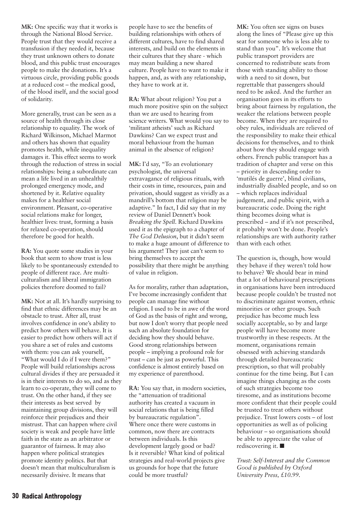**MK:** One specific way that it works is through the National Blood Service. People trust that they would receive a transfusion if they needed it, because they trust unknown others to donate blood, and this public trust encourages people to make the donations. It's a virtuous circle, providing public goods at a reduced cost – the medical good, of the blood itself, and the social good of solidarity.

More generally, trust can be seen as a source of health through its close relationship to equality. The work of Richard Wilkinson, Michael Marmot and others has shown that equality promotes health, while inequality damages it. This effect seems to work through the reduction of stress in social relationships: being a subordinate can mean a life lived in an unhealthily prolonged emergency mode, and shortened by it. Relative equality makes for a healthier social environment. Pleasant, co-operative social relations make for longer, healthier lives: trust, forming a basis for relaxed co-operation, should therefore be good for health.

**RA:** You quote some studies in your book that seem to show trust is less likely to be spontaneously extended to people of different race. Are multiculturalism and liberal immigration policies therefore doomed to fail?

**MK:** Not at all. It's hardly surprising to find that ethnic differences may be an obstacle to trust. After all, trust involves confidence in one's ability to predict how others will behave. It is easier to predict how others will act if you share a set of rules and customs with them: you can ask yourself, "What would I do if I were them?" People will build relationships across cultural divides if they are persuaded it is in their interests to do so, and as they learn to co-operate, they will come to trust. On the other hand, if they see their interests as best served by maintaining group divisions, they will reinforce their prejudices and their mistrust. That can happen where civil society is weak and people have little faith in the state as an arbitrator or guarantor of fairness. It may also happen where political strategies promote identity politics. But that doesn't mean that multiculturalism is necessarily divisive. It means that

people have to see the benefits of building relationships with others of different cultures, have to find shared interests, and build on the elements in their cultures that they share - which may mean building a new shared culture. People have to want to make it happen, and, as with any relationship, they have to work at it.

**RA:** What about religion? You put a much more positive spin on the subject than we are used to hearing from science writers. What would you say to 'militant atheists' such as Richard Dawkins? Can we expect trust and moral behaviour from the human animal in the absence of religion?

**MK:** I'd say, "To an evolutionary psychologist, the universal extravagance of religious rituals, with their costs in time, resources, pain and privation, should suggest as vividly as a mandrill's bottom that religion may be adaptive." In fact, I did say that in my review of Daniel Dennett's book *Breaking the Spell*. Richard Dawkins used it as the epigraph to a chapter of *The God Delusion*, but it didn't seem to make a huge amount of difference to his argument! They just can't seem to bring themselves to accept the possibility that there might be anything of value in religion.

As for morality, rather than adaptation, I've become increasingly confident that people can manage fine without religion. I used to be in awe of the word of God as the basis of right and wrong, but now I don't worry that people need such an absolute foundation for deciding how they should behave. Good strong relationships between people – implying a profound role for trust – can be just as powerful. This confidence is almost entirely based on my experience of parenthood.

**RA:** You say that, in modern societies, the "attenuation of traditional authority has created a vacuum in social relations that is being filled by bureaucratic regulation". Where once there were customs in common, now there are contracts between individuals. Is this development largely good or bad? Is it reversible? What kind of political strategies and real-world projects give us grounds for hope that the future could be more trustful?

**MK:** You often see signs on buses along the lines of "Please give up this seat for someone who is less able to stand than you". It's welcome that public transport providers are concerned to redistribute seats from those with standing ability to those with a need to sit down, but regrettable that passengers should need to be asked. And the further an organisation goes in its efforts to bring about fairness by regulation, the weaker the relations between people become. When they are required to obey rules, individuals are relieved of the responsibility to make their ethical decisions for themselves, and to think about how they should engage with others. French public transport has a tradition of chapter and verse on this – priority in descending order to 'mutilés de guerre', blind civilians, industrially disabled people, and so on – which replaces individual judgement, and public spirit, with a bureaucratic code. Doing the right thing becomes doing what is prescribed – and if it's not prescribed, it probably won't be done. People's relationships are with authority rather than with each other.

The question is, though, how would they behave if they weren't told how to behave? We should bear in mind that a lot of behavioural prescriptions in organisations have been introduced because people couldn't be trusted not to discriminate against women, ethnic minorities or other groups. Such prejudice has become much less socially acceptable, so by and large people will have become more trustworthy in these respects. At the moment, organisations remain obsessed with achieving standards through detailed bureaucratic prescription, so that will probably continue for the time being. But I can imagine things changing as the costs of such strategies become too tiresome, and as institutions become more confident that their people could be trusted to treat others without prejudice. Trust lowers costs – of lost opportunities as well as of policing behaviour – so organisations should be able to appreciate the value of rediscovering it. ■

*Trust: Self-Interest and the Common Good is published by Oxford University Press, £10.99.*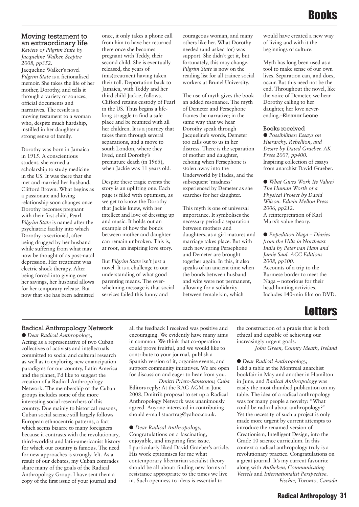#### Moving testament to an extraordinary life

*Review of Pilgrim State by Jacqueline Walker, Sceptre 2008, pp352.* Jacqueline Walker's novel *Pilgrim State* is a fictionalised memoir. She takes the life of her mother, Dorothy, and tells it through a variety of sources, official documents and narratives. The result is a moving testament to a woman who, despite much hardship, instilled in her daughter a strong sense of family.

Dorothy was born in Jamaica in 1915. A conscientious student, she earned a scholarship to study medicine in the US. It was there that she met and married her husband, Clifford Brown. What begins as a passionate and loving relationship soon changes once Dorothy becomes pregnant with their first child, Pearl. *Pilgrim State* is named after the psychiatric facility into which Dorothy is sectioned, after being drugged by her husband while suffering from what may now be thought of as post-natal depression. Her treatment was electric shock therapy. After being forced into giving over her savings, her husband allows for her temporary release. But now that she has been admitted

once, it only takes a phone call from him to have her returned there once she becomes pregnant with Teddy, their second child. She is eventually released, the years of (mis)treatment having taken their toll. Deportation back to Jamaica, with Teddy and her third child Jackie, follows. Clifford retains custody of Pearl in the US. Thus begins a lifelong struggle to find a safe place and be reunited with all her children. It is a journey that takes them through several separations, and a move to south London, where they lived, until Dorothy's premature death (in 1965), when Jackie was 11 years old.

Despite these tragic events the story is an uplifting one. Each page is filled with optimism, as we get to know the Dorothy that Jackie knew, with her intellect and love of dressing up and music. It holds out an example of how the bonds between mother and daughter can remain unbroken. This is, at root, an inspiring love story.

But *Pilgrim State* isn't just a novel. It is a challenge to our understanding of what good parenting means. The overwhelming message is that social services failed this funny and

courageous woman, and many others like her. What Dorothy needed (and asked for) was support. She didn't get it, but fortunately, this may change. *Pilgrim State* is now on the reading list for all trainee social workers at Brunel University.

The use of myth gives the book an added resonance. The myth of Demeter and Persephone frames the narrative; in the same way that we hear Dorothy speak through Jacqueline's words, Demeter too calls out to us in her distress. There is the separation of mother and daughter, echoing when Persephone is stolen away into the Underworld by Hades, and the subsequent 'madness' experienced by Demeter as she searches for her daughter.

This myth is one of universal importance. It symbolises the necessary periodic separation between mothers and daughters, as a girl matures and marriage takes place. But with each new spring Persephone and Demeter are brought together again. In this, it also speaks of an ancient time when the bonds between husband and wife were not permanent, allowing for a solidarity between female kin, which

would have created a new way of living and with it the beginnings of culture.

Myth has long been used as a tool to make sense of our own lives. Separation can, and does, occur. But this need not be the end. Throughout the novel, like the voice of Demeter, we hear Dorothy calling to her daughter, her love neverending.–Eleanor Leone

#### Books received

● *Possibilities: Essays on Hierarchy, Rebellion, and Desire by David Graeber. AK Press 2007, pp400.* Inspiring collection of essays from anarchist David Graeber.

● *What Gives Work Its Value? The Human Worth of a Physical Project by David Wilson. Edwin Mellon Press 2006, pp212.* A reinterpretation of Karl Marx's value theory.

● *Expedition Naga – Diaries from the Hills in Northeast India by Peter van Ham and Jamie Saul. ACC Editions 2008, pp300.* Accounts of a trip to the Burmese border to meet the Naga – notorious for their head-hunting activities. Includes 140-min film on DVD.

Letters

#### Radical Anthropology Network

● *Dear Radical Anthropology,* Acting as a representative of two Cuban collectives of activists and intellectuals committed to social and cultural research as well as to exploring new emancipation paradigms for our country, Latin America and the planet, I'd like to suggest the creation of a Radical Anthropology Network. The membership of the Cuban groups includes some of the more interesting social researchers of this country. Due mainly to historical reasons, Cuban social science still largely follows European ethnocentric patterns, a fact which seems bizarre to many foreigners because it contrasts with the revolutionary, third-worldist and latin-americanist history for which our country is famous. The need for new approaches is strongly felt. As a result of our debates, my Cuban comrades share many of the goals of the Radical Anthropology Group. I have sent them a copy of the first issue of your journal and

all the feedback I received was positive and encouraging. We evidently have many aims in common. We think that co-operation could prove fruitful, and we would like to contribute to your journal, publish a Spanish version of it, organise events, and support community initiatives. We are open for discussion and eager to hear from you.

*Dmitri Prieto-Samsonov, Cuba* **Editors reply:** At the RAG AGM in June 2008, Dmitri's proposal to set up a Radical Anthropology Network was unanimously agreed. Anyone interested in contributing should e-mail stuartrag@yahoo.co.uk.

● *Dear Radical Anthropology,* Congratulations on a fascinating, enjoyable, and inspiring first issue. I particularly liked David Graeber's article. His work epitomises for me what contemporary libertarian socialist theory should be all about: finding new forms of resistance appropriate to the times we live in. Such openness to ideas is essential to

the construction of a praxis that is both ethical and capable of achieving our increasingly urgent goals.

*John Green, County Meath, Ireland*

● *Dear Radical Anthropology,* I did a table at the Montreal anarchist bookfair in May and another in Hamilton in June, and *Radical Anthropology* was easily the most thumbed publication on my table. The idea of a radical anthropology was for many people a novelty: "What could be radical about anthropology?" Yet the necessity of such a project is only made more urgent by current attempts to introduce the renamed version of Creationism, Intelligent Design, into the Grade 10 science curriculum. In this context a radical anthropology truly is a revolutionary practice. Congratulations on a great journal. It's my current favourite along with *Aufheben*, *Communicating Vessels* and *Internationalist Perspective*. *Fischer, Toronto, Canada*